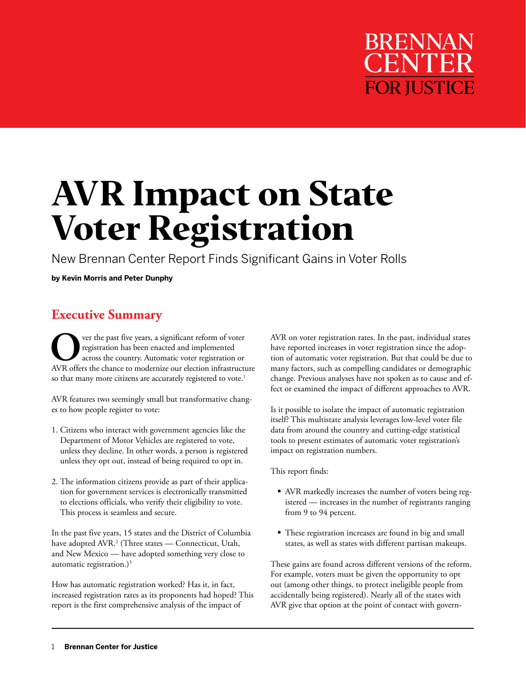# **BRENNA FOR JUSTICE**

# **AVR Impact on State Voter Registration**

New Brennan Center Report Finds Significant Gains in Voter Rolls

**by Kevin Morris and Peter Dunphy**

# **Executive Summary**

**O**ver the past five years, a significant reform of voter<br>registration has been enacted and implemented<br>across the country. Automatic voter registration or<br>AVP offers the change to modernize our election infrastructu registration has been enacted and implemented across the country. Automatic voter registration or AVR offers the chance to modernize our election infrastructure so that many more citizens are accurately registered to vote.<sup>1</sup>

AVR features two seemingly small but transformative changes to how people register to vote:

- 1. Citizens who interact with government agencies like the Department of Motor Vehicles are registered to vote, unless they decline. In other words, a person is registered unless they opt out, instead of being required to opt in.
- 2. The information citizens provide as part of their application for government services is electronically transmitted to elections officials, who verify their eligibility to vote. This process is seamless and secure.

In the past five years, 15 states and the District of Columbia have adopted AVR.2 (Three states — Connecticut, Utah, and New Mexico — have adopted something very close to automatic registration.) $3$ 

How has automatic registration worked? Has it, in fact, increased registration rates as its proponents had hoped? This report is the first comprehensive analysis of the impact of

AVR on voter registration rates. In the past, individual states have reported increases in voter registration since the adoption of automatic voter registration. But that could be due to many factors, such as compelling candidates or demographic change. Previous analyses have not spoken as to cause and effect or examined the impact of different approaches to AVR.

Is it possible to isolate the impact of automatic registration itself? This multistate analysis leverages low-level voter file data from around the country and cutting-edge statistical tools to present estimates of automatic voter registration's impact on registration numbers.

This report finds:

- AVR markedly increases the number of voters being registered — increases in the number of registrants ranging from 9 to 94 percent.
- These registration increases are found in big and small states, as well as states with different partisan makeups.

These gains are found across different versions of the reform. For example, voters must be given the opportunity to opt out (among other things, to protect ineligible people from accidentally being registered). Nearly all of the states with AVR give that option at the point of contact with govern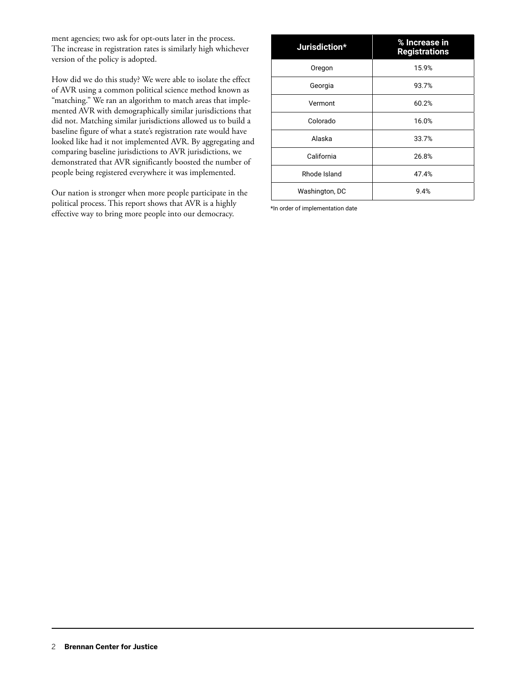ment agencies; two ask for opt-outs later in the process. The increase in registration rates is similarly high whichever version of the policy is adopted.

How did we do this study? We were able to isolate the effect of AVR using a common political science method known as "matching." We ran an algorithm to match areas that implemented AVR with demographically similar jurisdictions that did not. Matching similar jurisdictions allowed us to build a baseline figure of what a state's registration rate would have looked like had it not implemented AVR. By aggregating and comparing baseline jurisdictions to AVR jurisdictions, we demonstrated that AVR significantly boosted the number of people being registered everywhere it was implemented.

Our nation is stronger when more people participate in the political process. This report shows that AVR is a highly effective way to bring more people into our democracy.

| Jurisdiction*  | % Increase in<br><b>Registrations</b> |
|----------------|---------------------------------------|
| Oregon         | 15.9%                                 |
| Georgia        | 93.7%                                 |
| Vermont        | 60.2%                                 |
| Colorado       | 16.0%                                 |
| Alaska         | 33.7%                                 |
| California     | 26.8%                                 |
| Rhode Island   | 47.4%                                 |
| Washington, DC | 9.4%                                  |

\*In order of implementation date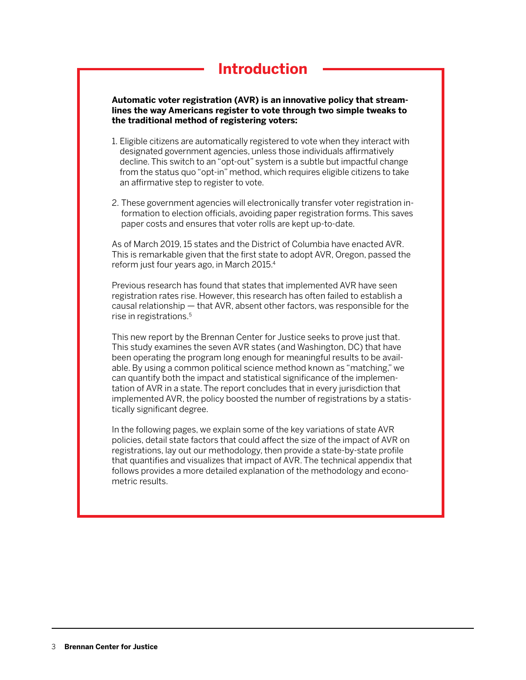# **Introduction**

**Automatic voter registration (AVR) is an innovative policy that streamlines the way Americans register to vote through two simple tweaks to the traditional method of registering voters:**

- 1. Eligible citizens are automatically registered to vote when they interact with designated government agencies, unless those individuals affirmatively decline. This switch to an "opt-out" system is a subtle but impactful change from the status quo "opt-in" method, which requires eligible citizens to take an affirmative step to register to vote.
- 2. These government agencies will electronically transfer voter registration information to election officials, avoiding paper registration forms. This saves paper costs and ensures that voter rolls are kept up-to-date.

As of March 2019, 15 states and the District of Columbia have enacted AVR. This is remarkable given that the first state to adopt AVR, Oregon, passed the reform just four years ago, in March 2015.4

Previous research has found that states that implemented AVR have seen registration rates rise. However, this research has often failed to establish a causal relationship — that AVR, absent other factors, was responsible for the rise in registrations.5

This new report by the Brennan Center for Justice seeks to prove just that. This study examines the seven AVR states (and Washington, DC) that have been operating the program long enough for meaningful results to be available. By using a common political science method known as "matching," we can quantify both the impact and statistical significance of the implementation of AVR in a state. The report concludes that in every jurisdiction that implemented AVR, the policy boosted the number of registrations by a statistically significant degree.

In the following pages, we explain some of the key variations of state AVR policies, detail state factors that could affect the size of the impact of AVR on registrations, lay out our methodology, then provide a state-by-state profile that quantifies and visualizes that impact of AVR. The technical appendix that follows provides a more detailed explanation of the methodology and econometric results.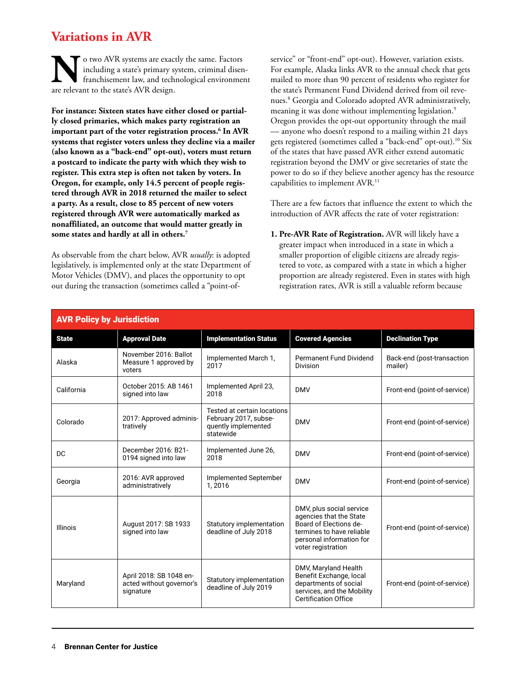# **Variations in AVR**

**No two AVR systems are exactly the same.** Factors including a state's primary system, criminal disem franchisement law, and technological environment are relevant to the state's AVR design. including a state's primary system, criminal disenfranchisement law, and technological environment are relevant to the state's AVR design.

**For instance: Sixteen states have either closed or partially closed primaries, which makes party registration an important part of the voter registration process.6 In AVR systems that register voters unless they decline via a mailer (also known as a "back-end" opt-out), voters must return a postcard to indicate the party with which they wish to register. This extra step is often not taken by voters. In Oregon, for example, only 14.5 percent of people registered through AVR in 2018 returned the mailer to select a party. As a result, close to 85 percent of new voters registered through AVR were automatically marked as nonaffiliated, an outcome that would matter greatly in some states and hardly at all in others.7**

As observable from the chart below, AVR *usually*: is adopted legislatively, is implemented only at the state Department of Motor Vehicles (DMV), and places the opportunity to opt out during the transaction (sometimes called a "point-ofservice" or "front-end" opt-out). However, variation exists. For example, Alaska links AVR to the annual check that gets mailed to more than 90 percent of residents who register for the state's Permanent Fund Dividend derived from oil revenues.8 Georgia and Colorado adopted AVR administratively, meaning it was done without implementing legislation.<sup>9</sup> Oregon provides the opt-out opportunity through the mail — anyone who doesn't respond to a mailing within 21 days gets registered (sometimes called a "back-end" opt-out).<sup>10</sup> Six of the states that have passed AVR either extend automatic registration beyond the DMV or give secretaries of state the power to do so if they believe another agency has the resource capabilities to implement AVR.<sup>11</sup>

There are a few factors that influence the extent to which the introduction of AVR affects the rate of voter registration:

**1. Pre-AVR Rate of Registration.** AVR will likely have a greater impact when introduced in a state in which a smaller proportion of eligible citizens are already registered to vote, as compared with a state in which a higher proportion are already registered. Even in states with high registration rates, AVR is still a valuable reform because

| <b>AVR Policy by Jurisdiction</b> |                                                                  |                                                                                          |                                                                                                                                                              |                                       |
|-----------------------------------|------------------------------------------------------------------|------------------------------------------------------------------------------------------|--------------------------------------------------------------------------------------------------------------------------------------------------------------|---------------------------------------|
| <b>State</b>                      | <b>Approval Date</b>                                             | <b>Implementation Status</b>                                                             | <b>Covered Agencies</b>                                                                                                                                      | <b>Declination Type</b>               |
| Alaska                            | November 2016: Ballot<br>Measure 1 approved by<br>voters         | Implemented March 1,<br>2017                                                             | Permanent Fund Dividend<br>Division                                                                                                                          | Back-end (post-transaction<br>mailer) |
| California                        | October 2015: AB 1461<br>signed into law                         | Implemented April 23,<br>2018                                                            | <b>DMV</b>                                                                                                                                                   | Front-end (point-of-service)          |
| Colorado                          | 2017: Approved adminis-<br>tratively                             | Tested at certain locations<br>February 2017, subse-<br>quently implemented<br>statewide | <b>DMV</b>                                                                                                                                                   | Front-end (point-of-service)          |
| DC                                | December 2016: B21-<br>0194 signed into law                      | Implemented June 26,<br>2018                                                             | <b>DMV</b>                                                                                                                                                   | Front-end (point-of-service)          |
| Georgia                           | 2016: AVR approved<br>administratively                           | Implemented September<br>1.2016                                                          | <b>DMV</b>                                                                                                                                                   | Front-end (point-of-service)          |
| Illinois                          | August 2017: SB 1933<br>signed into law                          | Statutory implementation<br>deadline of July 2018                                        | DMV, plus social service<br>agencies that the State<br>Board of Elections de-<br>termines to have reliable<br>personal information for<br>voter registration | Front-end (point-of-service)          |
| Maryland                          | April 2018: SB 1048 en-<br>acted without governor's<br>signature | Statutory implementation<br>deadline of July 2019                                        | DMV, Maryland Health<br>Benefit Exchange, local<br>departments of social<br>services, and the Mobility<br><b>Certification Office</b>                        | Front-end (point-of-service)          |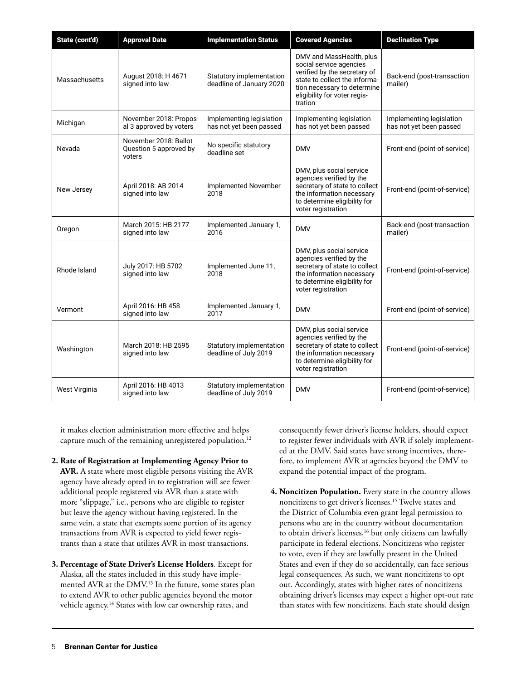| State (cont'd) | <b>Approval Date</b>                                      | <b>Implementation Status</b>                         | <b>Covered Agencies</b>                                                                                                                                                                        | <b>Declination Type</b>                             |
|----------------|-----------------------------------------------------------|------------------------------------------------------|------------------------------------------------------------------------------------------------------------------------------------------------------------------------------------------------|-----------------------------------------------------|
| Massachusetts  | August 2018: H 4671<br>signed into law                    | Statutory implementation<br>deadline of January 2020 | DMV and MassHealth, plus<br>social service agencies<br>verified by the secretary of<br>state to collect the informa-<br>tion necessary to determine<br>eligibility for voter regis-<br>tration | Back-end (post-transaction<br>mailer)               |
| Michigan       | November 2018: Propos-<br>al 3 approved by voters         | Implementing legislation<br>has not yet been passed  | Implementing legislation<br>has not yet been passed                                                                                                                                            | Implementing legislation<br>has not yet been passed |
| Nevada         | November 2018: Ballot<br>Question 5 approved by<br>voters | No specific statutory<br>deadline set                | <b>DMV</b>                                                                                                                                                                                     | Front-end (point-of-service)                        |
| New Jersey     | April 2018: AB 2014<br>signed into law                    | Implemented November<br>2018                         | DMV, plus social service<br>agencies verified by the<br>secretary of state to collect<br>the information necessary<br>to determine eligibility for<br>voter registration                       | Front-end (point-of-service)                        |
| Oregon         | March 2015: HB 2177<br>signed into law                    | Implemented January 1,<br>2016                       | <b>DMV</b>                                                                                                                                                                                     | Back-end (post-transaction<br>mailer)               |
| Rhode Island   | July 2017: HB 5702<br>signed into law                     | Implemented June 11,<br>2018                         | DMV, plus social service<br>agencies verified by the<br>secretary of state to collect<br>the information necessary<br>to determine eligibility for<br>voter registration                       | Front-end (point-of-service)                        |
| Vermont        | April 2016: HB 458<br>signed into law                     | Implemented January 1,<br>2017                       | <b>DMV</b>                                                                                                                                                                                     | Front-end (point-of-service)                        |
| Washington     | March 2018: HB 2595<br>signed into law                    | Statutory implementation<br>deadline of July 2019    | DMV, plus social service<br>agencies verified by the<br>secretary of state to collect<br>the information necessary<br>to determine eligibility for<br>voter registration                       | Front-end (point-of-service)                        |
| West Virginia  | April 2016: HB 4013<br>signed into law                    | Statutory implementation<br>deadline of July 2019    | <b>DMV</b>                                                                                                                                                                                     | Front-end (point-of-service)                        |

it makes election administration more effective and helps capture much of the remaining unregistered population.<sup>12</sup>

- **2. Rate of Registration at Implementing Agency Prior to AVR.** A state where most eligible persons visiting the AVR agency have already opted in to registration will see fewer additional people registered via AVR than a state with more "slippage," i.e., persons who are eligible to register but leave the agency without having registered. In the same vein, a state that exempts some portion of its agency transactions from AVR is expected to yield fewer registrants than a state that utilizes AVR in most transactions.
- **3. Percentage of State Driver's License Holders***.* Except for Alaska, all the states included in this study have implemented AVR at the DMV.<sup>13</sup> In the future, some states plan to extend AVR to other public agencies beyond the motor vehicle agency.<sup>14</sup> States with low car ownership rates, and

consequently fewer driver's license holders, should expect to register fewer individuals with AVR if solely implemented at the DMV. Said states have strong incentives, therefore, to implement AVR at agencies beyond the DMV to expand the potential impact of the program.

**4. Noncitizen Population.** Every state in the country allows noncitizens to get driver's licenses.15 Twelve states and the District of Columbia even grant legal permission to persons who are in the country without documentation to obtain driver's licenses,<sup>16</sup> but only citizens can lawfully participate in federal elections. Noncitizens who register to vote, even if they are lawfully present in the United States and even if they do so accidentally, can face serious legal consequences. As such, we want noncitizens to opt out. Accordingly, states with higher rates of noncitizens obtaining driver's licenses may expect a higher opt-out rate than states with few noncitizens. Each state should design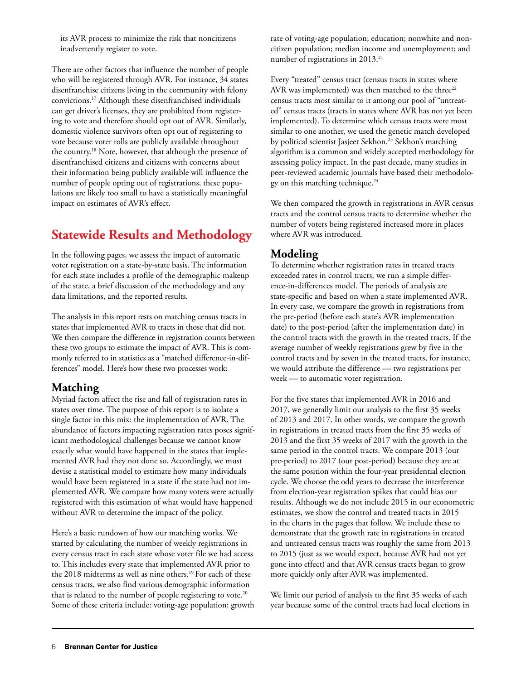its AVR process to minimize the risk that noncitizens inadvertently register to vote.

There are other factors that influence the number of people who will be registered through AVR. For instance, 34 states disenfranchise citizens living in the community with felony convictions.17 Although these disenfranchised individuals can get driver's licenses, they are prohibited from registering to vote and therefore should opt out of AVR. Similarly, domestic violence survivors often opt out of registering to vote because voter rolls are publicly available throughout the country.18 Note, however, that although the presence of disenfranchised citizens and citizens with concerns about their information being publicly available will influence the number of people opting out of registrations, these populations are likely too small to have a statistically meaningful impact on estimates of AVR's effect.

# **Statewide Results and Methodology**

In the following pages, we assess the impact of automatic voter registration on a state-by-state basis. The information for each state includes a profile of the demographic makeup of the state, a brief discussion of the methodology and any data limitations, and the reported results.

The analysis in this report rests on matching census tracts in states that implemented AVR to tracts in those that did not. We then compare the difference in registration counts between these two groups to estimate the impact of AVR. This is commonly referred to in statistics as a "matched difference-in-differences" model. Here's how these two processes work:

### **Matching**

Myriad factors affect the rise and fall of registration rates in states over time. The purpose of this report is to isolate a single factor in this mix: the implementation of AVR. The abundance of factors impacting registration rates poses significant methodological challenges because we cannot know exactly what would have happened in the states that implemented AVR had they not done so. Accordingly, we must devise a statistical model to estimate how many individuals would have been registered in a state if the state had not implemented AVR. We compare how many voters were actually registered with this estimation of what would have happened without AVR to determine the impact of the policy.

Here's a basic rundown of how our matching works. We started by calculating the number of weekly registrations in every census tract in each state whose voter file we had access to. This includes every state that implemented AVR prior to the 2018 midterms as well as nine others.<sup>19</sup> For each of these census tracts, we also find various demographic information that is related to the number of people registering to vote.<sup>20</sup> Some of these criteria include: voting-age population; growth rate of voting-age population; education; nonwhite and noncitizen population; median income and unemployment; and number of registrations in 2013.<sup>21</sup>

Every "treated" census tract (census tracts in states where AVR was implemented) was then matched to the three<sup>22</sup> census tracts most similar to it among our pool of "untreated" census tracts (tracts in states where AVR has not yet been implemented). To determine which census tracts were most similar to one another, we used the genetic match developed by political scientist Jasjeet Sekhon.<sup>23</sup> Sekhon's matching algorithm is a common and widely accepted methodology for assessing policy impact. In the past decade, many studies in peer-reviewed academic journals have based their methodology on this matching technique.<sup>24</sup>

We then compared the growth in registrations in AVR census tracts and the control census tracts to determine whether the number of voters being registered increased more in places where AVR was introduced.

## **Modeling**

To determine whether registration rates in treated tracts exceeded rates in control tracts, we run a simple difference-in-differences model. The periods of analysis are state-specific and based on when a state implemented AVR. In every case, we compare the growth in registrations from the pre-period (before each state's AVR implementation date) to the post-period (after the implementation date) in the control tracts with the growth in the treated tracts. If the average number of weekly registrations grew by five in the control tracts and by seven in the treated tracts, for instance, we would attribute the difference — two registrations per week — to automatic voter registration.

For the five states that implemented AVR in 2016 and 2017, we generally limit our analysis to the first 35 weeks of 2013 and 2017. In other words, we compare the growth in registrations in treated tracts from the first 35 weeks of 2013 and the first 35 weeks of 2017 with the growth in the same period in the control tracts. We compare 2013 (our pre-period) to 2017 (our post-period) because they are at the same position within the four-year presidential election cycle. We choose the odd years to decrease the interference from election-year registration spikes that could bias our results. Although we do not include 2015 in our econometric estimates, we show the control and treated tracts in 2015 in the charts in the pages that follow. We include these to demonstrate that the growth rate in registrations in treated and untreated census tracts was roughly the same from 2013 to 2015 (just as we would expect, because AVR had not yet gone into effect) and that AVR census tracts began to grow more quickly only after AVR was implemented.

We limit our period of analysis to the first 35 weeks of each year because some of the control tracts had local elections in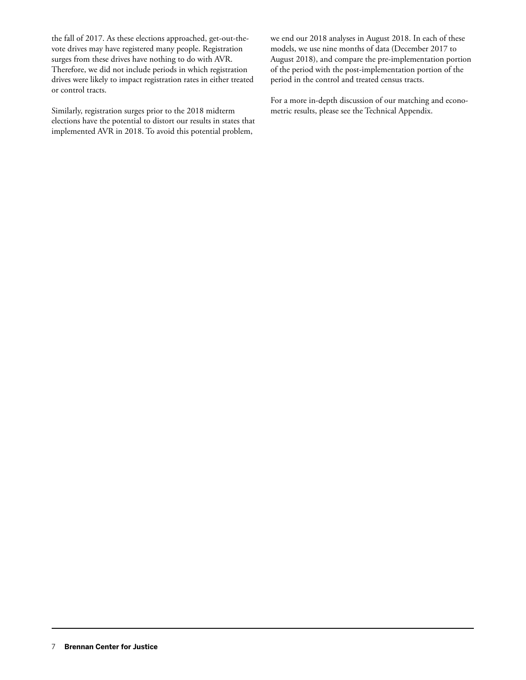the fall of 2017. As these elections approached, get-out-thevote drives may have registered many people. Registration surges from these drives have nothing to do with AVR. Therefore, we did not include periods in which registration drives were likely to impact registration rates in either treated or control tracts.

Similarly, registration surges prior to the 2018 midterm elections have the potential to distort our results in states that implemented AVR in 2018. To avoid this potential problem,

we end our 2018 analyses in August 2018. In each of these models, we use nine months of data (December 2017 to August 2018), and compare the pre-implementation portion of the period with the post-implementation portion of the period in the control and treated census tracts.

For a more in-depth discussion of our matching and econometric results, please see the Technical Appendix.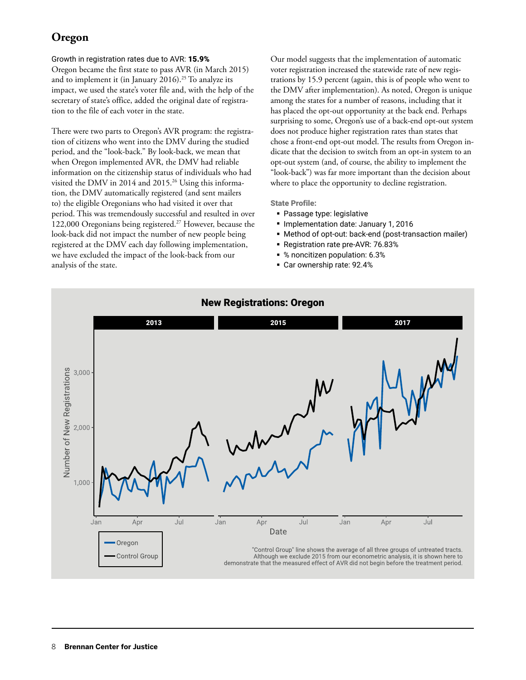## **Oregon**

#### Growth in registration rates due to AVR: 15.9%

Oregon became the first state to pass AVR (in March 2015) and to implement it (in January 2016).<sup>25</sup> To analyze its impact, we used the state's voter file and, with the help of the secretary of state's office, added the original date of registration to the file of each voter in the state.

There were two parts to Oregon's AVR program: the registration of citizens who went into the DMV during the studied period, and the "look-back." By look-back, we mean that when Oregon implemented AVR, the DMV had reliable information on the citizenship status of individuals who had visited the DMV in 2014 and 2015.<sup>26</sup> Using this information, the DMV automatically registered (and sent mailers to) the eligible Oregonians who had visited it over that period. This was tremendously successful and resulted in over 122,000 Oregonians being registered.<sup>27</sup> However, because the look-back did not impact the number of new people being registered at the DMV each day following implementation, we have excluded the impact of the look-back from our analysis of the state.

Our model suggests that the implementation of automatic voter registration increased the statewide rate of new registrations by 15.9 percent (again, this is of people who went to the DMV after implementation). As noted, Oregon is unique among the states for a number of reasons, including that it has placed the opt-out opportunity at the back end. Perhaps surprising to some, Oregon's use of a back-end opt-out system does not produce higher registration rates than states that chose a front-end opt-out model. The results from Oregon indicate that the decision to switch from an opt-in system to an opt-out system (and, of course, the ability to implement the "look-back") was far more important than the decision about where to place the opportunity to decline registration.

- **Passage type: legislative**
- **Implementation date: January 1, 2016**
- Method of opt-out: back-end (post-transaction mailer)
- **Registration rate pre-AVR: 76.83%**
- % noncitizen population: 6.3%
- Car ownership rate: 92.4%

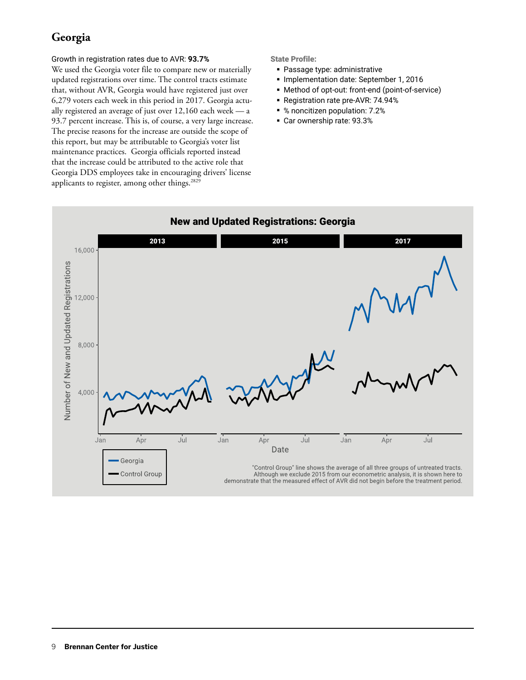## **Georgia**

#### Growth in registration rates due to AVR: **93.7%**

We used the Georgia voter file to compare new or materially updated registrations over time. The control tracts estimate that, without AVR, Georgia would have registered just over 6,279 voters each week in this period in 2017. Georgia actually registered an average of just over 12,160 each week — a 93.7 percent increase. This is, of course, a very large increase. The precise reasons for the increase are outside the scope of this report, but may be attributable to Georgia's voter list maintenance practices. Georgia officials reported instead that the increase could be attributed to the active role that Georgia DDS employees take in encouraging drivers' license applicants to register, among other things.<sup>2829</sup>

- Passage type: administrative
- **Implementation date: September 1, 2016**
- Method of opt-out: front-end (point-of-service)
- Registration rate pre-AVR: 74.94%
- % noncitizen population: 7.2%
- Car ownership rate: 93.3%

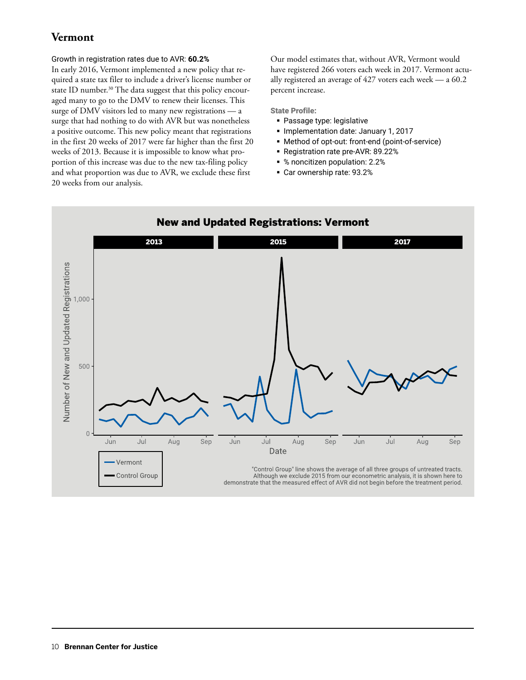## **Vermont**

#### Growth in registration rates due to AVR: **60.2%**

In early 2016, Vermont implemented a new policy that required a state tax filer to include a driver's license number or state ID number.<sup>30</sup> The data suggest that this policy encouraged many to go to the DMV to renew their licenses. This surge of DMV visitors led to many new registrations — a surge that had nothing to do with AVR but was nonetheless a positive outcome. This new policy meant that registrations in the first 20 weeks of 2017 were far higher than the first 20 weeks of 2013. Because it is impossible to know what proportion of this increase was due to the new tax-filing policy and what proportion was due to AVR, we exclude these first 20 weeks from our analysis.

Our model estimates that, without AVR, Vermont would have registered 266 voters each week in 2017. Vermont actually registered an average of 427 voters each week — a 60.2 percent increase.

State Profile:

- Passage type: legislative
- **Implementation date: January 1, 2017**
- Method of opt-out: front-end (point-of-service)
- **Registration rate pre-AVR: 89.22%**
- % noncitizen population: 2.2%
- Car ownership rate: 93.2%



#### New and Updated Registrations: Vermont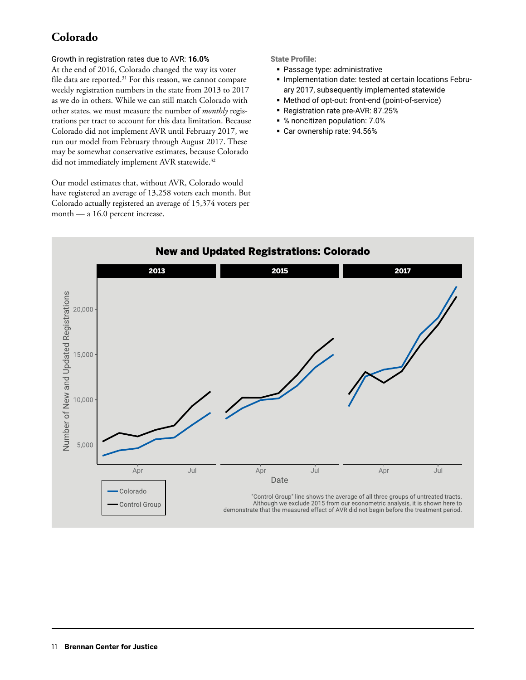## **Colorado**

#### Growth in registration rates due to AVR: **16.0%**

At the end of 2016, Colorado changed the way its voter file data are reported.<sup>31</sup> For this reason, we cannot compare weekly registration numbers in the state from 2013 to 2017 as we do in others. While we can still match Colorado with other states, we must measure the number of *monthly* registrations per tract to account for this data limitation. Because Colorado did not implement AVR until February 2017, we run our model from February through August 2017. These may be somewhat conservative estimates, because Colorado did not immediately implement AVR statewide.<sup>32</sup>

Our model estimates that, without AVR, Colorado would have registered an average of 13,258 voters each month. But Colorado actually registered an average of 15,374 voters per month — a 16.0 percent increase.

- Passage type: administrative
- **Implementation date: tested at certain locations Febru**ary 2017, subsequently implemented statewide
- Method of opt-out: front-end (point-of-service)
- Registration rate pre-AVR: 87.25%
- % noncitizen population: 7.0%
- Car ownership rate: 94.56%

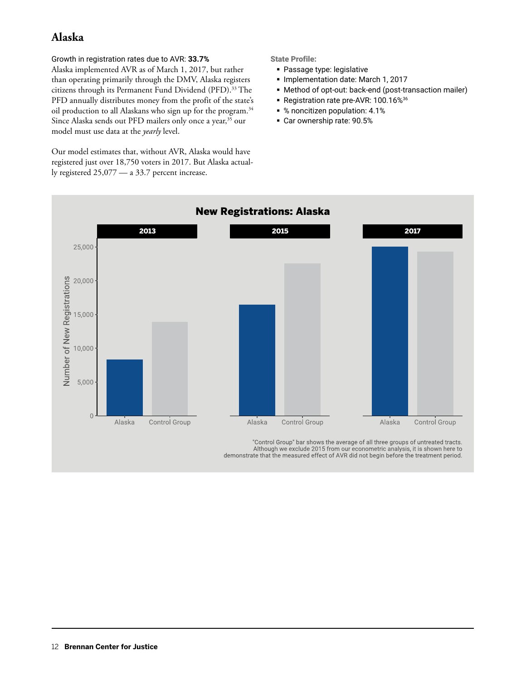## **Alaska**

Growth in registration rates due to AVR: **33.7%** Alaska implemented AVR as of March 1, 2017, but rather than operating primarily through the DMV, Alaska registers citizens through its Permanent Fund Dividend (PFD).<sup>33</sup> The PFD annually distributes money from the profit of the state's oil production to all Alaskans who sign up for the program.<sup>34</sup> Since Alaska sends out PFD mailers only once a year,<sup>35</sup> our model must use data at the *yearly* level.

Our model estimates that, without AVR, Alaska would have registered just over 18,750 voters in 2017. But Alaska actually registered 25,077 — a 33.7 percent increase.

State Profile:

- Passage type: legislative
- **Implementation date: March 1, 2017**
- Method of opt-out: back-end (post-transaction mailer)
- Registration rate pre-AVR: 100.16%<sup>36</sup>
- % noncitizen population: 4.1%
- Car ownership rate: 90.5%



Although we exclude 2015 from our econometric analysis, it is shown here to demonstrate that the measured effect of AVR did not begin before the treatment period.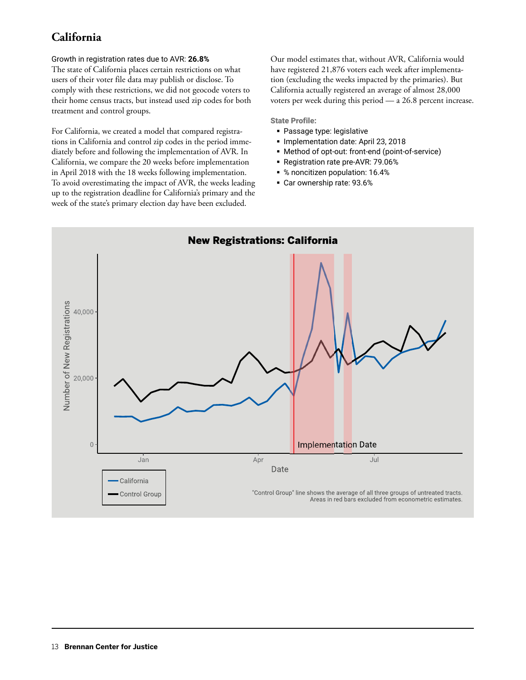## **California**

#### Growth in registration rates due to AVR: **26.8%**

The state of California places certain restrictions on what users of their voter file data may publish or disclose. To comply with these restrictions, we did not geocode voters to their home census tracts, but instead used zip codes for both treatment and control groups.

For California, we created a model that compared registrations in California and control zip codes in the period immediately before and following the implementation of AVR. In California, we compare the 20 weeks before implementation in April 2018 with the 18 weeks following implementation. To avoid overestimating the impact of AVR, the weeks leading up to the registration deadline for California's primary and the week of the state's primary election day have been excluded.

Our model estimates that, without AVR, California would have registered 21,876 voters each week after implementation (excluding the weeks impacted by the primaries). But California actually registered an average of almost 28,000 voters per week during this period — a 26.8 percent increase.

- **Passage type: legislative**
- **Implementation date: April 23, 2018**
- Method of opt-out: front-end (point-of-service)
- **Registration rate pre-AVR: 79.06%**
- % noncitizen population: 16.4%
- Car ownership rate: 93.6%

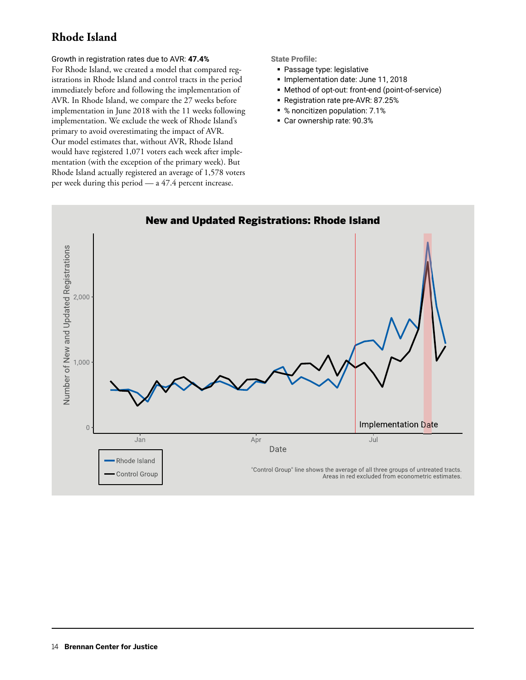## **Rhode Island**

#### Growth in registration rates due to AVR: **47.4%**

For Rhode Island, we created a model that compared registrations in Rhode Island and control tracts in the period immediately before and following the implementation of AVR. In Rhode Island, we compare the 27 weeks before implementation in June 2018 with the 11 weeks following implementation. We exclude the week of Rhode Island's primary to avoid overestimating the impact of AVR. Our model estimates that, without AVR, Rhode Island would have registered 1,071 voters each week after implementation (with the exception of the primary week). But Rhode Island actually registered an average of 1,578 voters per week during this period — a 47.4 percent increase.

- Passage type: legislative
- **Implementation date: June 11, 2018**
- Method of opt-out: front-end (point-of-service)
- Registration rate pre-AVR: 87.25%
- % noncitizen population: 7.1%
- Car ownership rate: 90.3%

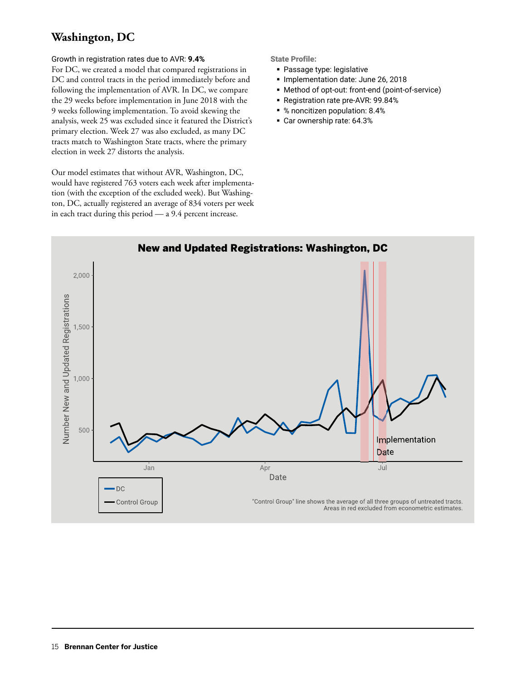## **Washington, DC**

#### Growth in registration rates due to AVR: **9.4%**

For DC, we created a model that compared registrations in DC and control tracts in the period immediately before and following the implementation of AVR. In DC, we compare the 29 weeks before implementation in June 2018 with the 9 weeks following implementation. To avoid skewing the analysis, week 25 was excluded since it featured the District's primary election. Week 27 was also excluded, as many DC tracts match to Washington State tracts, where the primary election in week 27 distorts the analysis.

Our model estimates that without AVR, Washington, DC, would have registered 763 voters each week after implementation (with the exception of the excluded week). But Washington, DC, actually registered an average of 834 voters per week in each tract during this period — a 9.4 percent increase.

- Passage type: legislative
- **Implementation date: June 26, 2018**
- Method of opt-out: front-end (point-of-service)
- **Registration rate pre-AVR: 99.84%**
- % noncitizen population: 8.4%
- Car ownership rate: 64.3%

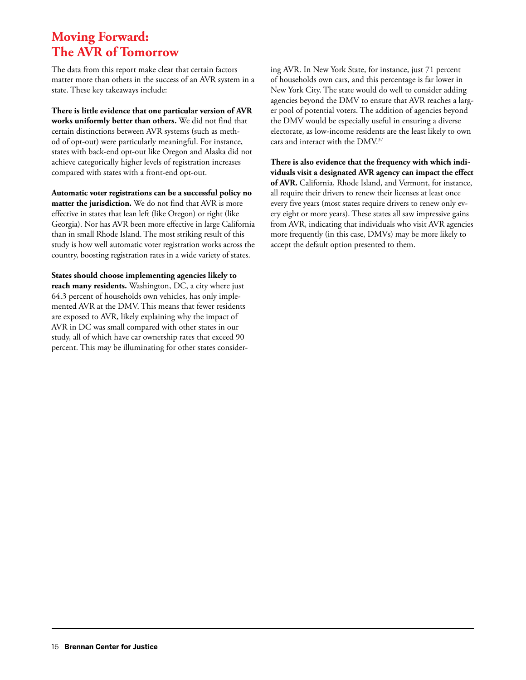# **Moving Forward: The AVR of Tomorrow**

The data from this report make clear that certain factors matter more than others in the success of an AVR system in a state. These key takeaways include:

**There is little evidence that one particular version of AVR works uniformly better than others.** We did not find that certain distinctions between AVR systems (such as method of opt-out) were particularly meaningful. For instance, states with back-end opt-out like Oregon and Alaska did not achieve categorically higher levels of registration increases compared with states with a front-end opt-out.

**Automatic voter registrations can be a successful policy no matter the jurisdiction.** We do not find that AVR is more effective in states that lean left (like Oregon) or right (like Georgia). Nor has AVR been more effective in large California than in small Rhode Island. The most striking result of this study is how well automatic voter registration works across the country, boosting registration rates in a wide variety of states.

**States should choose implementing agencies likely to reach many residents.** Washington, DC, a city where just 64.3 percent of households own vehicles, has only implemented AVR at the DMV. This means that fewer residents are exposed to AVR, likely explaining why the impact of AVR in DC was small compared with other states in our study, all of which have car ownership rates that exceed 90 percent. This may be illuminating for other states considering AVR. In New York State, for instance, just 71 percent of households own cars, and this percentage is far lower in New York City. The state would do well to consider adding agencies beyond the DMV to ensure that AVR reaches a larger pool of potential voters. The addition of agencies beyond the DMV would be especially useful in ensuring a diverse electorate, as low-income residents are the least likely to own cars and interact with the DMV.37

**There is also evidence that the frequency with which individuals visit a designated AVR agency can impact the effect of AVR.** California, Rhode Island, and Vermont, for instance, all require their drivers to renew their licenses at least once every five years (most states require drivers to renew only every eight or more years). These states all saw impressive gains from AVR, indicating that individuals who visit AVR agencies more frequently (in this case, DMVs) may be more likely to accept the default option presented to them.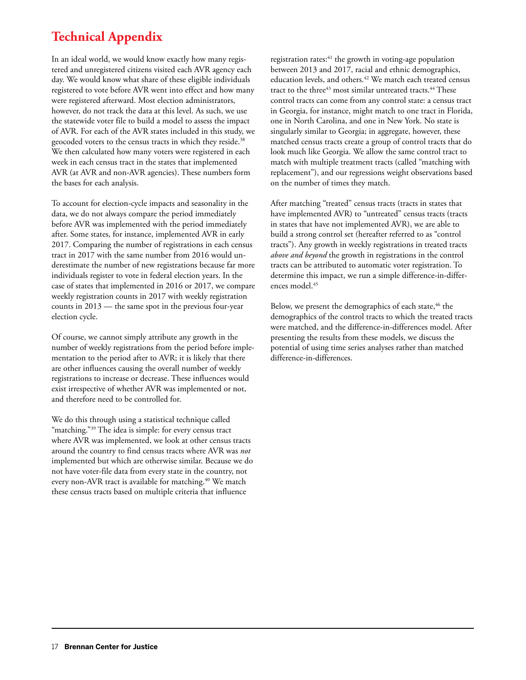# **Technical Appendix**

In an ideal world, we would know exactly how many registered and unregistered citizens visited each AVR agency each day. We would know what share of these eligible individuals registered to vote before AVR went into effect and how many were registered afterward. Most election administrators, however, do not track the data at this level. As such, we use the statewide voter file to build a model to assess the impact of AVR. For each of the AVR states included in this study, we geocoded voters to the census tracts in which they reside.<sup>38</sup> We then calculated how many voters were registered in each week in each census tract in the states that implemented AVR (at AVR and non-AVR agencies). These numbers form the bases for each analysis.

To account for election-cycle impacts and seasonality in the data, we do not always compare the period immediately before AVR was implemented with the period immediately after. Some states, for instance, implemented AVR in early 2017. Comparing the number of registrations in each census tract in 2017 with the same number from 2016 would underestimate the number of new registrations because far more individuals register to vote in federal election years. In the case of states that implemented in 2016 or 2017, we compare weekly registration counts in 2017 with weekly registration counts in 2013 — the same spot in the previous four-year election cycle.

Of course, we cannot simply attribute any growth in the number of weekly registrations from the period before implementation to the period after to AVR; it is likely that there are other influences causing the overall number of weekly registrations to increase or decrease. These influences would exist irrespective of whether AVR was implemented or not, and therefore need to be controlled for.

We do this through using a statistical technique called "matching."<sup>39</sup> The idea is simple: for every census tract where AVR was implemented, we look at other census tracts around the country to find census tracts where AVR was *not* implemented but which are otherwise similar. Because we do not have voter-file data from every state in the country, not every non-AVR tract is available for matching.<sup>40</sup> We match these census tracts based on multiple criteria that influence

registration rates:<sup>41</sup> the growth in voting-age population between 2013 and 2017, racial and ethnic demographics, education levels, and others.<sup>42</sup> We match each treated census tract to the three<sup>43</sup> most similar untreated tracts.<sup>44</sup> These control tracts can come from any control state: a census tract in Georgia, for instance, might match to one tract in Florida, one in North Carolina, and one in New York. No state is singularly similar to Georgia; in aggregate, however, these matched census tracts create a group of control tracts that do look much like Georgia. We allow the same control tract to match with multiple treatment tracts (called "matching with replacement"), and our regressions weight observations based on the number of times they match.

After matching "treated" census tracts (tracts in states that have implemented AVR) to "untreated" census tracts (tracts in states that have not implemented AVR), we are able to build a strong control set (hereafter referred to as "control tracts"). Any growth in weekly registrations in treated tracts *above and beyond* the growth in registrations in the control tracts can be attributed to automatic voter registration. To determine this impact, we run a simple difference-in-differences model.45

Below, we present the demographics of each state, <sup>46</sup> the demographics of the control tracts to which the treated tracts were matched, and the difference-in-differences model. After presenting the results from these models, we discuss the potential of using time series analyses rather than matched difference-in-differences.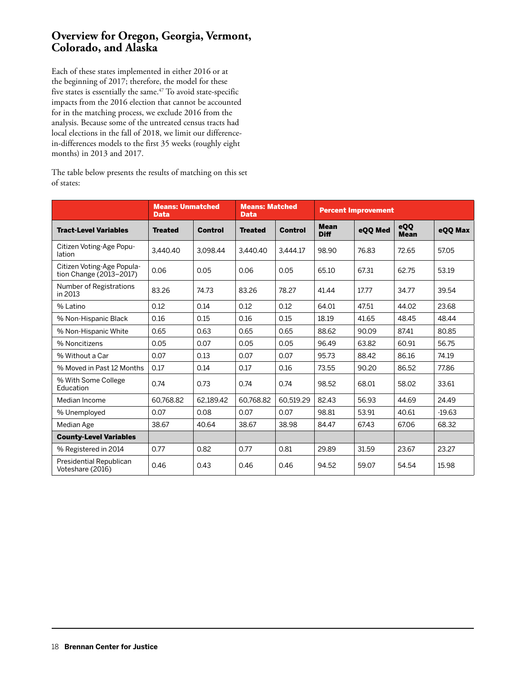#### **Overview for Oregon, Georgia, Vermont, Colorado, and Alaska**

Each of these states implemented in either 2016 or at the beginning of 2017; therefore, the model for these five states is essentially the same.<sup>47</sup> To avoid state-specific impacts from the 2016 election that cannot be accounted for in the matching process, we exclude 2016 from the analysis. Because some of the untreated census tracts had local elections in the fall of 2018, we limit our differencein-differences models to the first 35 weeks (roughly eight months) in 2013 and 2017.

The table below presents the results of matching on this set of states:

|                                                       | <b>Means: Unmatched</b><br><b>Data</b> |                | <b>Means: Matched</b><br><b>Data</b> |                |                            | <b>Percent Improvement</b> |                    |          |
|-------------------------------------------------------|----------------------------------------|----------------|--------------------------------------|----------------|----------------------------|----------------------------|--------------------|----------|
| <b>Tract-Level Variables</b>                          | <b>Treated</b>                         | <b>Control</b> | <b>Treated</b>                       | <b>Control</b> | <b>Mean</b><br><b>Diff</b> | eQQ Med                    | eQQ<br><b>Mean</b> | eQQ Max  |
| Citizen Voting-Age Popu-<br>lation                    | 3.440.40                               | 3.098.44       | 3.440.40                             | 3.444.17       | 98.90                      | 76.83                      | 72.65              | 57.05    |
| Citizen Voting-Age Popula-<br>tion Change (2013-2017) | 0.06                                   | 0.05           | 0.06                                 | 0.05           | 65.10                      | 67.31                      | 62.75              | 53.19    |
| Number of Registrations<br>in 2013                    | 83.26                                  | 74.73          | 83.26                                | 78.27          | 41.44                      | 17.77                      | 34.77              | 39.54    |
| % Latino                                              | 0.12                                   | 0.14           | 0.12                                 | 0.12           | 64.01                      | 47.51                      | 44.02              | 23.68    |
| % Non-Hispanic Black                                  | 0.16                                   | 0.15           | 0.16                                 | 0.15           | 18.19                      | 41.65                      | 48.45              | 48.44    |
| % Non-Hispanic White                                  | 0.65                                   | 0.63           | 0.65                                 | 0.65           | 88.62                      | 90.09                      | 87.41              | 80.85    |
| % Noncitizens                                         | 0.05                                   | 0.07           | 0.05                                 | 0.05           | 96.49                      | 63.82                      | 60.91              | 56.75    |
| % Without a Car                                       | 0.07                                   | 0.13           | 0.07                                 | 0.07           | 95.73                      | 88.42                      | 86.16              | 74.19    |
| % Moved in Past 12 Months                             | 0.17                                   | 0.14           | 0.17                                 | 0.16           | 73.55                      | 90.20                      | 86.52              | 77.86    |
| % With Some College<br>Education                      | 0.74                                   | 0.73           | 0.74                                 | 0.74           | 98.52                      | 68.01                      | 58.02              | 33.61    |
| Median Income                                         | 60.768.82                              | 62.189.42      | 60.768.82                            | 60.519.29      | 82.43                      | 56.93                      | 44.69              | 24.49    |
| % Unemployed                                          | 0.07                                   | 0.08           | 0.07                                 | 0.07           | 98.81                      | 53.91                      | 40.61              | $-19.63$ |
| Median Age                                            | 38.67                                  | 40.64          | 38.67                                | 38.98          | 84.47                      | 67.43                      | 67.06              | 68.32    |
| <b>County-Level Variables</b>                         |                                        |                |                                      |                |                            |                            |                    |          |
| % Registered in 2014                                  | 0.77                                   | 0.82           | 0.77                                 | 0.81           | 29.89                      | 31.59                      | 23.67              | 23.27    |
| Presidential Republican<br>Voteshare (2016)           | 0.46                                   | 0.43           | 0.46                                 | 0.46           | 94.52                      | 59.07                      | 54.54              | 15.98    |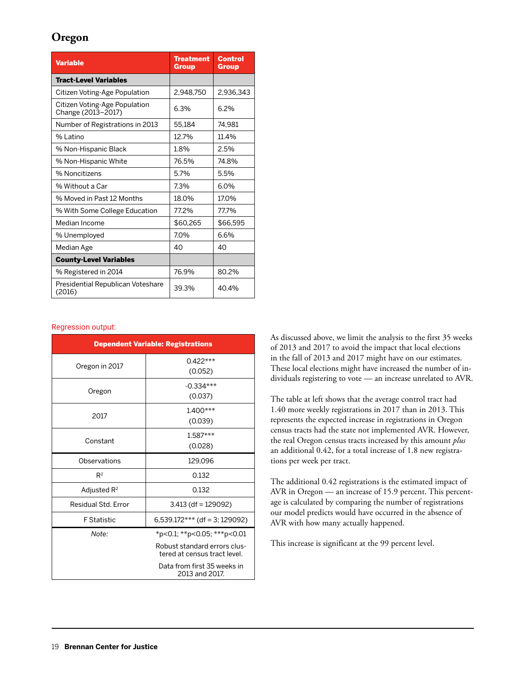### **Oregon**

| <b>Variable</b>                                     | <b>Treatment</b><br><b>Group</b> | <b>Control</b><br>Group |
|-----------------------------------------------------|----------------------------------|-------------------------|
| <b>Tract-Level Variables</b>                        |                                  |                         |
| Citizen Voting-Age Population                       | 2.948.750                        | 2,936,343               |
| Citizen Voting-Age Population<br>Change (2013-2017) | 6.3%                             | 6.2%                    |
| Number of Registrations in 2013                     | 55,184                           | 74.981                  |
| % Latino                                            | 12.7%                            | 11.4%                   |
| % Non-Hispanic Black                                | 1.8%                             | 2.5%                    |
| % Non-Hispanic White                                | 76.5%                            | 74.8%                   |
| % Noncitizens                                       | 5.7%                             | 5.5%                    |
| % Without a Car                                     | 7.3%                             | 6.0%                    |
| % Moved in Past 12 Months                           | 18.0%                            | 17.0%                   |
| % With Some College Education                       | 77.2%                            | 77.7%                   |
| Median Income                                       | \$60.265                         | \$66.595                |
| % Unemployed                                        | 7.0%                             | 6.6%                    |
| Median Age                                          | 40                               | 40                      |
| <b>County-Level Variables</b>                       |                                  |                         |
| % Registered in 2014                                | 76.9%                            | 80.2%                   |
| Presidential Republican Voteshare<br>(2016)         | 39.3%                            | 40.4%                   |

#### Regression output:

| <b>Dependent Variable: Registrations</b> |                                                              |  |
|------------------------------------------|--------------------------------------------------------------|--|
|                                          | $0.422***$                                                   |  |
| Oregon in 2017                           | (0.052)                                                      |  |
| Oregon                                   | $-0.334***$                                                  |  |
|                                          | (0.037)                                                      |  |
| 2017                                     | $1.400***$                                                   |  |
|                                          | (0.039)                                                      |  |
| Constant                                 | $1.587***$                                                   |  |
|                                          | (0.028)                                                      |  |
| Observations                             | 129,096                                                      |  |
| $R^2$                                    | 0.132                                                        |  |
| Adjusted $R^2$                           | 0.132                                                        |  |
| Residual Std. Error                      | $3.413$ (df = 129092)                                        |  |
| <b>F</b> Statistic                       | 6,539.172*** (df = 3; 129092)                                |  |
| Note:                                    | *p<0.1; **p<0.05; ***p<0.01                                  |  |
|                                          | Robust standard errors clus-<br>tered at census tract level. |  |
|                                          | Data from first 35 weeks in<br>2013 and 2017.                |  |

As discussed above, we limit the analysis to the first 35 weeks of 2013 and 2017 to avoid the impact that local elections in the fall of 2013 and 2017 might have on our estimates. These local elections might have increased the number of individuals registering to vote — an increase unrelated to AVR.

The table at left shows that the average control tract had 1.40 more weekly registrations in 2017 than in 2013. This represents the expected increase in registrations in Oregon census tracts had the state not implemented AVR. However, the real Oregon census tracts increased by this amount *plus* an additional 0.42, for a total increase of 1.8 new registrations per week per tract.

The additional 0.42 registrations is the estimated impact of AVR in Oregon — an increase of 15.9 percent. This percentage is calculated by comparing the number of registrations our model predicts would have occurred in the absence of AVR with how many actually happened.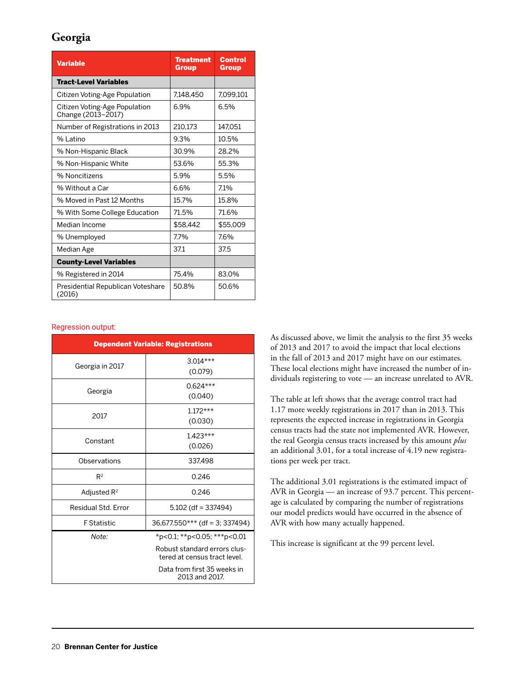### **Georgia**

| <b>Variable</b>                                     | <b>Treatment</b><br><b>Group</b> | <b>Control</b><br>Group |
|-----------------------------------------------------|----------------------------------|-------------------------|
| <b>Tract-Level Variables</b>                        |                                  |                         |
| Citizen Voting-Age Population                       | 7.148.450                        | 7.099.101               |
| Citizen Voting-Age Population<br>Change (2013-2017) | 6.9%                             | 6.5%                    |
| Number of Registrations in 2013                     | 210.173                          | 147.051                 |
| % Latino                                            | 9.3%                             | 10.5%                   |
| % Non-Hispanic Black                                | 30.9%                            | 28.2%                   |
| % Non-Hispanic White                                | 53.6%                            | 55.3%                   |
| % Noncitizens                                       | 5.9%                             | 5.5%                    |
| % Without a Car                                     | 6.6%                             | 7.1%                    |
| % Moved in Past 12 Months                           | 15.7%                            | 15.8%                   |
| % With Some College Education                       | 71.5%                            | 71.6%                   |
| Median Income                                       | \$58.442                         | \$55,009                |
| % Unemployed                                        | 7.7%                             | 7.6%                    |
| Median Age                                          | 37.1                             | 37.5                    |
| <b>County-Level Variables</b>                       |                                  |                         |
| % Registered in 2014                                | 75.4%                            | 83.0%                   |
| Presidential Republican Voteshare<br>(2016)         | 50.8%                            | 50.6%                   |

#### Regression output:

| <b>Dependent Variable: Registrations</b> |                                                              |  |
|------------------------------------------|--------------------------------------------------------------|--|
| Georgia in 2017                          | $3.014***$                                                   |  |
|                                          | (0.079)                                                      |  |
| Georgia                                  | $0.624***$                                                   |  |
|                                          | (0.040)                                                      |  |
| 2017                                     | $1.172***$                                                   |  |
|                                          | (0.030)                                                      |  |
| Constant                                 | $1.423***$                                                   |  |
|                                          | (0.026)                                                      |  |
| Observations                             | 337.498                                                      |  |
| $R^2$                                    | 0.246                                                        |  |
| Adjusted $R^2$                           | 0.246                                                        |  |
| Residual Std. Error                      | $5.102$ (df = 337494)                                        |  |
| <b>F</b> Statistic                       | $36,677.550***$ (df = 3; 337494)                             |  |
| Note:                                    | *p<0.1; **p<0.05; ***p<0.01                                  |  |
|                                          | Robust standard errors clus-<br>tered at census tract level. |  |
|                                          | Data from first 35 weeks in<br>2013 and 2017.                |  |

As discussed above, we limit the analysis to the first 35 weeks of 2013 and 2017 to avoid the impact that local elections in the fall of 2013 and 2017 might have on our estimates. These local elections might have increased the number of individuals registering to vote — an increase unrelated to AVR.

The table at left shows that the average control tract had 1.17 more weekly registrations in 2017 than in 2013. This represents the expected increase in registrations in Georgia census tracts had the state not implemented AVR. However, the real Georgia census tracts increased by this amount *plus* an additional 3.01, for a total increase of 4.19 new registrations per week per tract.

The additional 3.01 registrations is the estimated impact of AVR in Georgia — an increase of 93.7 percent. This percentage is calculated by comparing the number of registrations our model predicts would have occurred in the absence of AVR with how many actually happened.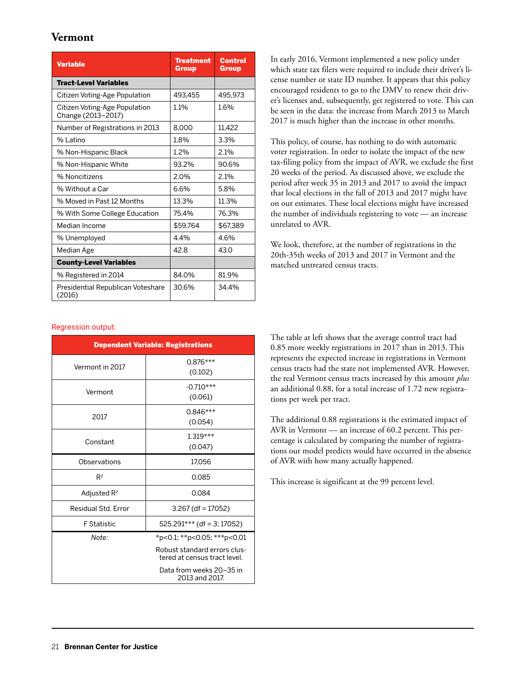#### **Vermont**

| <b>Variable</b>                                     | <b>Treatment</b><br>Group | <b>Control</b><br>Group |
|-----------------------------------------------------|---------------------------|-------------------------|
| <b>Tract-Level Variables</b>                        |                           |                         |
| Citizen Voting-Age Population                       | 493.455                   | 495.973                 |
| Citizen Voting-Age Population<br>Change (2013-2017) | 1.1%                      | 1.6%                    |
| Number of Registrations in 2013                     | 8.000                     | 11,422                  |
| $%$ atino                                           | 1.8%                      | 3.3%                    |
| % Non-Hispanic Black                                | 1.2%                      | 2.1%                    |
| % Non-Hispanic White                                | 93.2%                     | 90.6%                   |
| % Noncitizens                                       | 2.0%                      | 2.1%                    |
| % Without a Car                                     | 6.6%                      | 5.8%                    |
| % Moved in Past 12 Months                           | 13.3%                     | 11.3%                   |
| % With Some College Education                       | 75.4%                     | 76.3%                   |
| Median Income                                       | \$59.764                  | \$67,389                |
| % Unemployed                                        | 4.4%                      | 4.6%                    |
| Median Age                                          | 42.8                      | 43.0                    |
| <b>County-Level Variables</b>                       |                           |                         |
| % Registered in 2014                                | 84.0%                     | 81.9%                   |
| Presidential Republican Voteshare<br>(2016)         | 30.6%                     | 34.4%                   |

#### Regression output:

| <b>Dependent Variable: Registrations</b> |                                                              |  |
|------------------------------------------|--------------------------------------------------------------|--|
| Vermont in 2017                          | $0.876***$                                                   |  |
|                                          | (0.102)                                                      |  |
| Vermont                                  | $-0.710***$                                                  |  |
|                                          | (0.061)                                                      |  |
| 2017                                     | $0.846***$                                                   |  |
|                                          | (0.054)                                                      |  |
| Constant                                 | $1.319***$                                                   |  |
|                                          | (0.047)                                                      |  |
| Observations                             | 17,056                                                       |  |
| $R^2$                                    | 0.085                                                        |  |
| Adjusted $R^2$                           | 0.084                                                        |  |
| Residual Std. Error                      | $3.267$ (df = 17052)                                         |  |
| <b>F</b> Statistic                       | $525.291***$ (df = 3; 17052)                                 |  |
| Note:                                    | *p<0.1; **p<0.05; ***p<0.01                                  |  |
|                                          | Robust standard errors clus-<br>tered at census tract level. |  |
|                                          | Data from weeks 20-35 in<br>2013 and 2017.                   |  |

In early 2016, Vermont implemented a new policy under which state tax filers were required to include their driver's license number or state ID number. It appears that this policy encouraged residents to go to the DMV to renew their driver's licenses and, subsequently, get registered to vote. This can be seen in the data: the increase from March 2013 to March 2017 is much higher than the increase in other months.

This policy, of course, has nothing to do with automatic voter registration. In order to isolate the impact of the new tax-filing policy from the impact of AVR, we exclude the first 20 weeks of the period. As discussed above, we exclude the period after week 35 in 2013 and 2017 to avoid the impact that local elections in the fall of 2013 and 2017 might have on our estimates. These local elections might have increased the number of individuals registering to vote — an increase unrelated to AVR.

We look, therefore, at the number of registrations in the 20th-35th weeks of 2013 and 2017 in Vermont and the matched untreated census tracts.

The table at left shows that the average control tract had 0.85 more weekly registrations in 2017 than in 2013. This represents the expected increase in registrations in Vermont census tracts had the state not implemented AVR. However, the real Vermont census tracts increased by this amount *plus* an additional 0.88, for a total increase of 1.72 new registrations per week per tract.

The additional 0.88 registrations is the estimated impact of AVR in Vermont — an increase of 60.2 percent. This percentage is calculated by comparing the number of registrations our model predicts would have occurred in the absence of AVR with how many actually happened.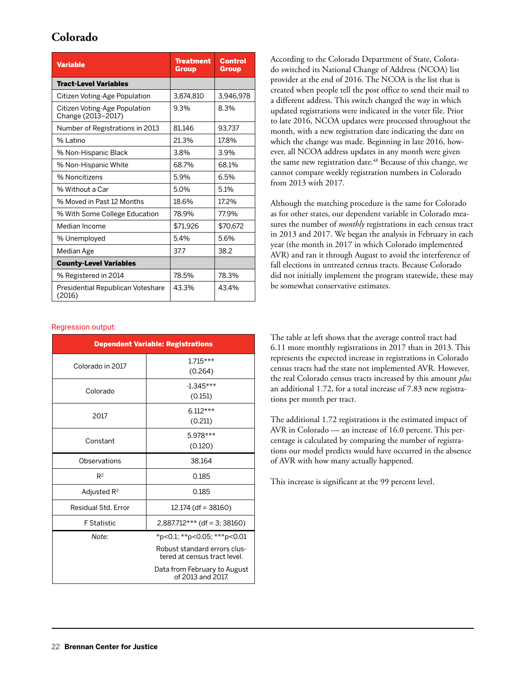## **Colorado**

| <b>Variable</b>                                     | <b>Treatment</b><br>Group | Control<br>Group |
|-----------------------------------------------------|---------------------------|------------------|
| <b>Tract-Level Variables</b>                        |                           |                  |
| Citizen Voting-Age Population                       | 3.874.810                 | 3.946.978        |
| Citizen Voting-Age Population<br>Change (2013-2017) | 9.3%                      | 8.3%             |
| Number of Registrations in 2013                     | 81.146                    | 93.737           |
| % Latino                                            | 21.3%                     | 17.8%            |
| % Non-Hispanic Black                                | 3.8%                      | 3.9%             |
| % Non-Hispanic White                                | 68.7%                     | 68.1%            |
| % Noncitizens                                       | 5.9%                      | 6.5%             |
| % Without a Car                                     | 5.0%                      | 5.1%             |
| % Moved in Past 12 Months                           | 18.6%                     | 17.2%            |
| % With Some College Education                       | 78.9%                     | 77.9%            |
| Median Income                                       | \$71.926                  | \$70.672         |
| % Unemployed                                        | 5.4%                      | 5.6%             |
| Median Age                                          | 37.7                      | 38.2             |
| <b>County-Level Variables</b>                       |                           |                  |
| % Registered in 2014                                | 78.5%                     | 78.3%            |
| Presidential Republican Voteshare<br>(2016)         | 43.3%                     | 43.4%            |

#### Regression output:

| <b>Dependent Variable: Registrations</b> |                                                              |  |
|------------------------------------------|--------------------------------------------------------------|--|
| Colorado in 2017                         | $1.715***$                                                   |  |
|                                          | (0.264)                                                      |  |
| Colorado                                 | $-1.345***$                                                  |  |
|                                          | (0.151)                                                      |  |
| 2017                                     | $6.112***$                                                   |  |
|                                          | (0.211)                                                      |  |
| Constant                                 | $5.978***$                                                   |  |
|                                          | (0.120)                                                      |  |
| Observations                             | 38,164                                                       |  |
| $R^2$                                    | 0.185                                                        |  |
| Adjusted $R^2$                           | 0.185                                                        |  |
| Residual Std. Error                      | $12.174$ (df = 38160)                                        |  |
| <b>F</b> Statistic                       | $2,887.712***$ (df = 3; 38160)                               |  |
| Note:                                    | *p<0.1; **p<0.05; ***p<0.01                                  |  |
|                                          | Robust standard errors clus-<br>tered at census tract level. |  |
|                                          | Data from February to August<br>of 2013 and 2017.            |  |

According to the Colorado Department of State, Colorado switched its National Change of Address (NCOA) list provider at the end of 2016. The NCOA is the list that is created when people tell the post office to send their mail to a different address. This switch changed the way in which updated registrations were indicated in the voter file. Prior to late 2016, NCOA updates were processed throughout the month, with a new registration date indicating the date on which the change was made. Beginning in late 2016, however, all NCOA address updates in any month were given the same new registration date.<sup>48</sup> Because of this change, we cannot compare weekly registration numbers in Colorado from 2013 with 2017.

Although the matching procedure is the same for Colorado as for other states, our dependent variable in Colorado measures the number of *monthly* registrations in each census tract in 2013 and 2017. We began the analysis in February in each year (the month in 2017 in which Colorado implemented AVR) and ran it through August to avoid the interference of fall elections in untreated census tracts. Because Colorado did not initially implement the program statewide, these may be somewhat conservative estimates.

The table at left shows that the average control tract had 6.11 more monthly registrations in 2017 than in 2013. This represents the expected increase in registrations in Colorado census tracts had the state not implemented AVR. However, the real Colorado census tracts increased by this amount *plus* an additional 1.72, for a total increase of 7.83 new registrations per month per tract.

The additional 1.72 registrations is the estimated impact of AVR in Colorado — an increase of 16.0 percent. This percentage is calculated by comparing the number of registrations our model predicts would have occurred in the absence of AVR with how many actually happened.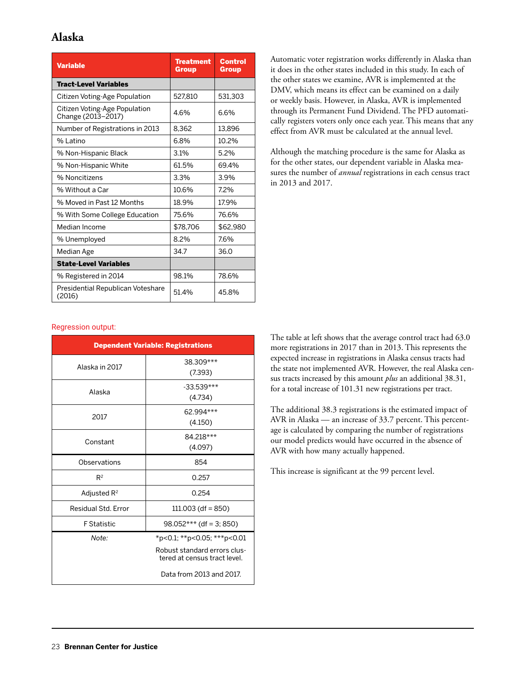## **Alaska**

| <b>Variable</b>                                     | Treatment<br><b>Group</b> | <b>Control</b><br>Group |
|-----------------------------------------------------|---------------------------|-------------------------|
| <b>Tract-Level Variables</b>                        |                           |                         |
| Citizen Voting-Age Population                       | 527.810                   | 531.303                 |
| Citizen Voting-Age Population<br>Change (2013-2017) | 4.6%                      | 6.6%                    |
| Number of Registrations in 2013                     | 8,362                     | 13,896                  |
| $%$ atino                                           | 6.8%                      | 10.2%                   |
| % Non-Hispanic Black                                | 3.1%                      | 5.2%                    |
| % Non-Hispanic White                                | 61.5%                     | 69.4%                   |
| % Noncitizens                                       | 3.3%                      | 3.9%                    |
| % Without a Car                                     | 10.6%                     | 7.2%                    |
| % Moved in Past 12 Months                           | 18.9%                     | 17.9%                   |
| % With Some College Education                       | 75.6%                     | 76.6%                   |
| Median Income                                       | \$78.706                  | \$62.980                |
| % Unemployed                                        | 8.2%                      | 7.6%                    |
| Median Age                                          | 34.7                      | 36.0                    |
| <b>State-Level Variables</b>                        |                           |                         |
| % Registered in 2014                                | 98.1%                     | 78.6%                   |
| Presidential Republican Voteshare<br>(2016)         | 51.4%                     | 45.8%                   |

Automatic voter registration works differently in Alaska than it does in the other states included in this study. In each of the other states we examine, AVR is implemented at the DMV, which means its effect can be examined on a daily or weekly basis. However, in Alaska, AVR is implemented through its Permanent Fund Dividend. The PFD automatically registers voters only once each year. This means that any effect from AVR must be calculated at the annual level.

Although the matching procedure is the same for Alaska as for the other states, our dependent variable in Alaska measures the number of *annual* registrations in each census tract in 2013 and 2017.

#### Regression output:

| <b>Dependent Variable: Registrations</b> |                                                              |  |  |  |  |
|------------------------------------------|--------------------------------------------------------------|--|--|--|--|
| Alaska in 2017                           | 38.309***<br>(7.393)                                         |  |  |  |  |
| Alaska                                   | $-33.539***$<br>(4.734)                                      |  |  |  |  |
| 2017                                     | 62.994***<br>(4.150)                                         |  |  |  |  |
| Constant                                 | 84.218***<br>(4.097)                                         |  |  |  |  |
| Observations                             | 854                                                          |  |  |  |  |
| $R^2$                                    | 0.257                                                        |  |  |  |  |
| Adjusted R <sup>2</sup>                  | 0.254                                                        |  |  |  |  |
| Residual Std. Error                      | $111.003$ (df = 850)                                         |  |  |  |  |
| <b>F</b> Statistic                       | $98.052***$ (df = 3; 850)                                    |  |  |  |  |
| Note:                                    | *p<0.1; **p<0.05; ***p<0.01                                  |  |  |  |  |
|                                          | Robust standard errors clus-<br>tered at census tract level. |  |  |  |  |
|                                          | Data from 2013 and 2017.                                     |  |  |  |  |

The table at left shows that the average control tract had 63.0 more registrations in 2017 than in 2013. This represents the expected increase in registrations in Alaska census tracts had the state not implemented AVR. However, the real Alaska census tracts increased by this amount *plus* an additional 38.31, for a total increase of 101.31 new registrations per tract.

The additional 38.3 registrations is the estimated impact of AVR in Alaska — an increase of 33.7 percent. This percentage is calculated by comparing the number of registrations our model predicts would have occurred in the absence of AVR with how many actually happened.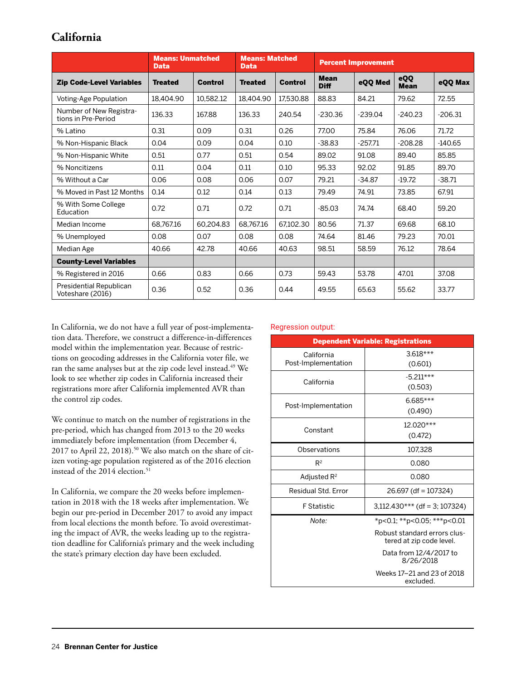## **California**

|                                                | <b>Means: Unmatched</b><br><b>Data</b> |                | <b>Means: Matched</b><br><b>Data</b> |                | <b>Percent Improvement</b> |           |                    |           |
|------------------------------------------------|----------------------------------------|----------------|--------------------------------------|----------------|----------------------------|-----------|--------------------|-----------|
| <b>Zip Code-Level Variables</b>                | <b>Treated</b>                         | <b>Control</b> | <b>Treated</b>                       | <b>Control</b> | <b>Mean</b><br><b>Diff</b> | eQQ Med   | eQQ<br><b>Mean</b> | eOO Max   |
| Voting-Age Population                          | 18.404.90                              | 10.582.12      | 18,404.90                            | 17.530.88      | 88.83                      | 84.21     | 79.62              | 72.55     |
| Number of New Registra-<br>tions in Pre-Period | 136.33                                 | 167.88         | 136.33                               | 240.54         | $-230.36$                  | $-239.04$ | $-240.23$          | $-206.31$ |
| % Latino                                       | 0.31                                   | 0.09           | 0.31                                 | 0.26           | 77.00                      | 75.84     | 76.06              | 71.72     |
| % Non-Hispanic Black                           | 0.04                                   | 0.09           | 0.04                                 | 0.10           | $-38.83$                   | $-257.71$ | $-208.28$          | $-140.65$ |
| % Non-Hispanic White                           | 0.51                                   | 0.77           | 0.51                                 | 0.54           | 89.02                      | 91.08     | 89.40              | 85.85     |
| % Noncitizens                                  | 0.11                                   | 0.04           | 0.11                                 | 0.10           | 95.33                      | 92.02     | 91.85              | 89.70     |
| % Without a Car                                | 0.06                                   | 0.08           | 0.06                                 | 0.07           | 79.21                      | $-34.87$  | $-19.72$           | $-38.71$  |
| % Moved in Past 12 Months                      | 0.14                                   | 0.12           | 0.14                                 | 0.13           | 79.49                      | 74.91     | 73.85              | 67.91     |
| % With Some College<br>Education               | 0.72                                   | 0.71           | 0.72                                 | 0.71           | $-85.03$                   | 74.74     | 68.40              | 59.20     |
| Median Income                                  | 68.767.16                              | 60.204.83      | 68.767.16                            | 67.102.30      | 80.56                      | 71.37     | 69.68              | 68.10     |
| % Unemployed                                   | 0.08                                   | 0.07           | 0.08                                 | 0.08           | 74.64                      | 81.46     | 79.23              | 70.01     |
| Median Age                                     | 40.66                                  | 42.78          | 40.66                                | 40.63          | 98.51                      | 58.59     | 76.12              | 78.64     |
| <b>County-Level Variables</b>                  |                                        |                |                                      |                |                            |           |                    |           |
| % Registered in 2016                           | 0.66                                   | 0.83           | 0.66                                 | 0.73           | 59.43                      | 53.78     | 47.01              | 37.08     |
| Presidential Republican<br>Voteshare (2016)    | 0.36                                   | 0.52           | 0.36                                 | 0.44           | 49.55                      | 65.63     | 55.62              | 33.77     |

In California, we do not have a full year of post-implementation data. Therefore, we construct a difference-in-differences model within the implementation year. Because of restrictions on geocoding addresses in the California voter file, we ran the same analyses but at the zip code level instead.<sup>49</sup> We look to see whether zip codes in California increased their registrations more after California implemented AVR than the control zip codes.

We continue to match on the number of registrations in the pre-period, which has changed from 2013 to the 20 weeks immediately before implementation (from December 4, 2017 to April 22, 2018).<sup>50</sup> We also match on the share of citizen voting-age population registered as of the 2016 election instead of the 2014 election.<sup>51</sup>

In California, we compare the 20 weeks before implementation in 2018 with the 18 weeks after implementation. We begin our pre-period in December 2017 to avoid any impact from local elections the month before. To avoid overestimating the impact of AVR, the weeks leading up to the registration deadline for California's primary and the week including the state's primary election day have been excluded.

#### Regression output:

| <b>Dependent Variable: Registrations</b> |                                                          |  |  |  |  |
|------------------------------------------|----------------------------------------------------------|--|--|--|--|
| California                               | $3.618***$                                               |  |  |  |  |
| Post-Implementation                      | (0.601)                                                  |  |  |  |  |
| California                               | $-5.211***$                                              |  |  |  |  |
|                                          | (0.503)                                                  |  |  |  |  |
| Post-Implementation                      | $6.685***$                                               |  |  |  |  |
|                                          | (0.490)                                                  |  |  |  |  |
| Constant                                 | $12.020***$                                              |  |  |  |  |
|                                          | (0.472)                                                  |  |  |  |  |
| Observations                             | 107.328                                                  |  |  |  |  |
| $R^2$                                    | 0.080                                                    |  |  |  |  |
| Adjusted $R^2$                           | 0.080                                                    |  |  |  |  |
| Residual Std. Error                      | 26.697 (df = 107324)                                     |  |  |  |  |
| <b>F</b> Statistic                       | $3,112.430***$ (df = 3; 107324)                          |  |  |  |  |
| Note:                                    | *p<0.1; **p<0.05; ***p<0.01                              |  |  |  |  |
|                                          | Robust standard errors clus-<br>tered at zip code level. |  |  |  |  |
|                                          | Data from 12/4/2017 to<br>8/26/2018                      |  |  |  |  |
|                                          | Weeks 17-21 and 23 of 2018<br>excluded.                  |  |  |  |  |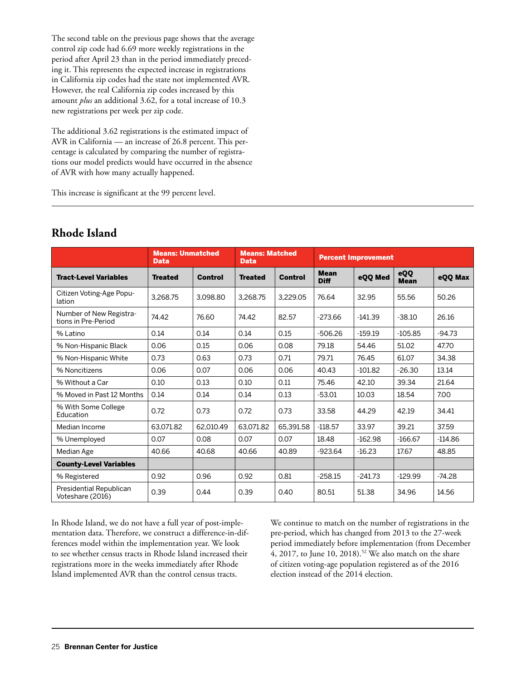The second table on the previous page shows that the average control zip code had 6.69 more weekly registrations in the period after April 23 than in the period immediately preceding it. This represents the expected increase in registrations in California zip codes had the state not implemented AVR. However, the real California zip codes increased by this amount *plus* an additional 3.62, for a total increase of 10.3 new registrations per week per zip code.

The additional 3.62 registrations is the estimated impact of AVR in California — an increase of 26.8 percent. This percentage is calculated by comparing the number of registrations our model predicts would have occurred in the absence of AVR with how many actually happened.

This increase is significant at the 99 percent level.

|                                                | <b>Means: Unmatched</b><br><b>Data</b> |                | <b>Means: Matched</b><br><b>Data</b> |                | <b>Percent Improvement</b> |           |                    |           |
|------------------------------------------------|----------------------------------------|----------------|--------------------------------------|----------------|----------------------------|-----------|--------------------|-----------|
| <b>Tract-Level Variables</b>                   | <b>Treated</b>                         | <b>Control</b> | <b>Treated</b>                       | <b>Control</b> | <b>Mean</b><br><b>Diff</b> | eQQ Med   | eQQ<br><b>Mean</b> | eQQ Max   |
| Citizen Voting-Age Popu-<br>lation             | 3.268.75                               | 3.098.80       | 3.268.75                             | 3,229.05       | 76.64                      | 32.95     | 55.56              | 50.26     |
| Number of New Registra-<br>tions in Pre-Period | 74.42                                  | 76.60          | 74.42                                | 82.57          | $-273.66$                  | $-141.39$ | $-38.10$           | 26.16     |
| % Latino                                       | 0.14                                   | 0.14           | 0.14                                 | 0.15           | $-506.26$                  | $-159.19$ | $-105.85$          | $-94.73$  |
| % Non-Hispanic Black                           | 0.06                                   | 0.15           | 0.06                                 | 0.08           | 79.18                      | 54.46     | 51.02              | 47.70     |
| % Non-Hispanic White                           | 0.73                                   | 0.63           | 0.73                                 | 0.71           | 79.71                      | 76.45     | 61.07              | 34.38     |
| % Noncitizens                                  | 0.06                                   | 0.07           | 0.06                                 | 0.06           | 40.43                      | $-101.82$ | $-26.30$           | 13.14     |
| % Without a Car                                | 0.10                                   | 0.13           | 0.10                                 | 0.11           | 75.46                      | 42.10     | 39.34              | 21.64     |
| % Moved in Past 12 Months                      | 0.14                                   | 0.14           | 0.14                                 | 0.13           | $-53.01$                   | 10.03     | 18.54              | 7.00      |
| % With Some College<br>Education               | 0.72                                   | 0.73           | 0.72                                 | 0.73           | 33.58                      | 44.29     | 42.19              | 34.41     |
| Median Income                                  | 63.071.82                              | 62.010.49      | 63.071.82                            | 65,391.58      | $-118.57$                  | 33.97     | 39.21              | 37.59     |
| % Unemployed                                   | 0.07                                   | 0.08           | 0.07                                 | 0.07           | 18.48                      | $-162.98$ | $-166.67$          | $-114.86$ |
| Median Age                                     | 40.66                                  | 40.68          | 40.66                                | 40.89          | $-923.64$                  | $-16.23$  | 17.67              | 48.85     |
| <b>County-Level Variables</b>                  |                                        |                |                                      |                |                            |           |                    |           |
| % Registered                                   | 0.92                                   | 0.96           | 0.92                                 | 0.81           | $-258.15$                  | $-241.73$ | $-129.99$          | $-74.28$  |
| Presidential Republican<br>Voteshare (2016)    | 0.39                                   | 0.44           | 0.39                                 | 0.40           | 80.51                      | 51.38     | 34.96              | 14.56     |

## **Rhode Island**

In Rhode Island, we do not have a full year of post-implementation data. Therefore, we construct a difference-in-differences model within the implementation year. We look to see whether census tracts in Rhode Island increased their registrations more in the weeks immediately after Rhode Island implemented AVR than the control census tracts.

We continue to match on the number of registrations in the pre-period, which has changed from 2013 to the 27-week period immediately before implementation (from December 4, 2017, to June 10, 2018).<sup>52</sup> We also match on the share of citizen voting-age population registered as of the 2016 election instead of the 2014 election.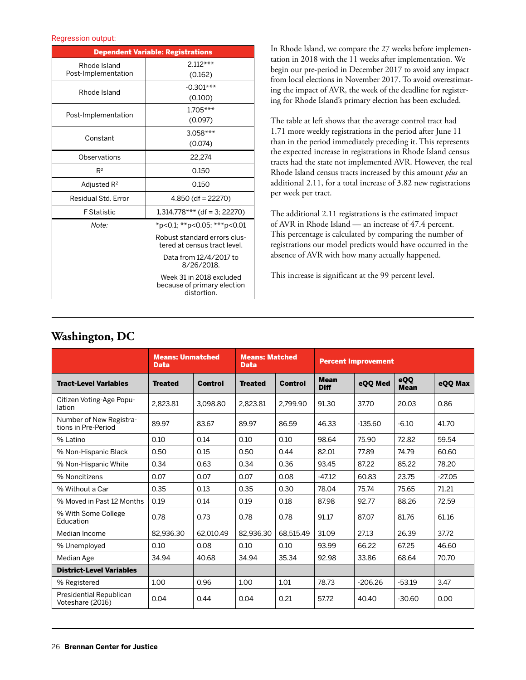#### Regression output:

| <b>Dependent Variable: Registrations</b> |                                                                        |  |  |  |  |
|------------------------------------------|------------------------------------------------------------------------|--|--|--|--|
| Rhode Island                             | $2.112***$                                                             |  |  |  |  |
| Post-Implementation                      | (0.162)                                                                |  |  |  |  |
| Rhode Island                             | $-0.301***$                                                            |  |  |  |  |
|                                          | (0.100)                                                                |  |  |  |  |
| Post-Implementation                      | $1.705***$                                                             |  |  |  |  |
|                                          | (0.097)                                                                |  |  |  |  |
| Constant                                 | $3.058***$                                                             |  |  |  |  |
|                                          | (0.074)                                                                |  |  |  |  |
| Observations                             | 22,274                                                                 |  |  |  |  |
| $R^2$                                    | 0.150                                                                  |  |  |  |  |
| Adjusted $R^2$                           | 0.150                                                                  |  |  |  |  |
| Residual Std. Error                      | $4.850$ (df = 22270)                                                   |  |  |  |  |
| <b>F</b> Statistic                       | $1,314.778***$ (df = 3; 22270)                                         |  |  |  |  |
| Note:                                    | *p<0.1; **p<0.05; ***p<0.01                                            |  |  |  |  |
|                                          | Robust standard errors clus-<br>tered at census tract level.           |  |  |  |  |
|                                          | Data from 12/4/2017 to<br>8/26/2018.                                   |  |  |  |  |
|                                          | Week 31 in 2018 excluded<br>because of primary election<br>distortion. |  |  |  |  |

In Rhode Island, we compare the 27 weeks before implementation in 2018 with the 11 weeks after implementation. We begin our pre-period in December 2017 to avoid any impact from local elections in November 2017. To avoid overestimating the impact of AVR, the week of the deadline for registering for Rhode Island's primary election has been excluded.

The table at left shows that the average control tract had 1.71 more weekly registrations in the period after June 11 than in the period immediately preceding it. This represents the expected increase in registrations in Rhode Island census tracts had the state not implemented AVR. However, the real Rhode Island census tracts increased by this amount *plus* an additional 2.11, for a total increase of 3.82 new registrations per week per tract.

The additional 2.11 registrations is the estimated impact of AVR in Rhode Island — an increase of 47.4 percent. This percentage is calculated by comparing the number of registrations our model predicts would have occurred in the absence of AVR with how many actually happened.

This increase is significant at the 99 percent level.

### **Washington, DC**

|                                                | <b>Means: Unmatched</b><br><b>Data</b> |                | <b>Means: Matched</b><br><b>Data</b> |                | <b>Percent Improvement</b> |           |                    |          |
|------------------------------------------------|----------------------------------------|----------------|--------------------------------------|----------------|----------------------------|-----------|--------------------|----------|
| <b>Tract-Level Variables</b>                   | <b>Treated</b>                         | <b>Control</b> | <b>Treated</b>                       | <b>Control</b> | <b>Mean</b><br><b>Diff</b> | eQQ Med   | eQQ<br><b>Mean</b> | eOO Max  |
| Citizen Voting-Age Popu-<br>lation             | 2,823.81                               | 3.098.80       | 2.823.81                             | 2.799.90       | 91.30                      | 37.70     | 20.03              | 0.86     |
| Number of New Registra-<br>tions in Pre-Period | 89.97                                  | 83.67          | 89.97                                | 86.59          | 46.33                      | $-135.60$ | $-6.10$            | 41.70    |
| % Latino                                       | 0.10                                   | 0.14           | 0.10                                 | 0.10           | 98.64                      | 75.90     | 72.82              | 59.54    |
| % Non-Hispanic Black                           | 0.50                                   | 0.15           | 0.50                                 | 0.44           | 82.01                      | 77.89     | 74.79              | 60.60    |
| % Non-Hispanic White                           | 0.34                                   | 0.63           | 0.34                                 | 0.36           | 93.45                      | 87.22     | 85.22              | 78.20    |
| % Noncitizens                                  | 0.07                                   | 0.07           | 0.07                                 | 0.08           | $-47.12$                   | 60.83     | 23.75              | $-27.05$ |
| % Without a Car                                | 0.35                                   | 0.13           | 0.35                                 | 0.30           | 78.04                      | 75.74     | 75.65              | 71.21    |
| % Moved in Past 12 Months                      | 0.19                                   | 0.14           | 0.19                                 | 0.18           | 87.98                      | 92.77     | 88.26              | 72.59    |
| % With Some College<br>Education               | 0.78                                   | 0.73           | 0.78                                 | 0.78           | 91.17                      | 87.07     | 81.76              | 61.16    |
| Median Income                                  | 82.936.30                              | 62.010.49      | 82.936.30                            | 68,515.49      | 31.09                      | 27.13     | 26.39              | 37.72    |
| % Unemployed                                   | 0.10                                   | 0.08           | 0.10                                 | 0.10           | 93.99                      | 66.22     | 67.25              | 46.60    |
| Median Age                                     | 34.94                                  | 40.68          | 34.94                                | 35.34          | 92.98                      | 33.86     | 68.64              | 70.70    |
| <b>District-Level Variables</b>                |                                        |                |                                      |                |                            |           |                    |          |
| % Registered                                   | 1.00                                   | 0.96           | 1.00                                 | 1.01           | 78.73                      | $-206.26$ | $-53.19$           | 3.47     |
| Presidential Republican<br>Voteshare (2016)    | 0.04                                   | 0.44           | 0.04                                 | 0.21           | 57.72                      | 40.40     | $-30.60$           | 0.00     |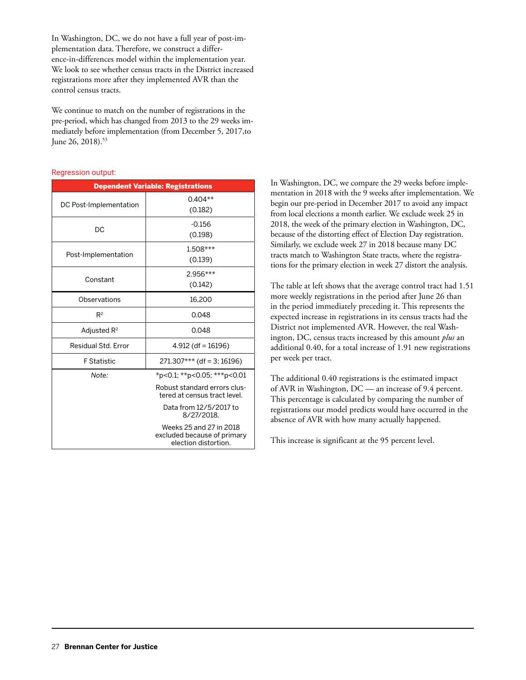In Washington, DC, we do not have a full year of post-implementation data. Therefore, we construct a difference-in-differences model within the implementation year. We look to see whether census tracts in the District increased registrations more after they implemented AVR than the control census tracts.

We continue to match on the number of registrations in the pre-period, which has changed from 2013 to the 29 weeks immediately before implementation (from December 5, 2017,to June 26, 2018).<sup>53</sup>

#### Regression output:

| <b>Dependent Variable: Registrations</b> |                                                                                |  |  |  |  |  |
|------------------------------------------|--------------------------------------------------------------------------------|--|--|--|--|--|
| DC Post-Implementation                   | $0.404**$                                                                      |  |  |  |  |  |
|                                          | (0.182)                                                                        |  |  |  |  |  |
| DC                                       | $-0.156$                                                                       |  |  |  |  |  |
|                                          | (0.198)                                                                        |  |  |  |  |  |
|                                          | $1.508***$                                                                     |  |  |  |  |  |
| Post-Implementation                      | (0.139)                                                                        |  |  |  |  |  |
|                                          | $2.956***$                                                                     |  |  |  |  |  |
| Constant                                 | (0.142)                                                                        |  |  |  |  |  |
| Observations                             | 16,200                                                                         |  |  |  |  |  |
| $R^2$                                    | 0.048                                                                          |  |  |  |  |  |
| Adjusted $R^2$                           | 0.048                                                                          |  |  |  |  |  |
| Residual Std. Error                      | 4.912 (df = 16196)                                                             |  |  |  |  |  |
| <b>F</b> Statistic                       | $271.307***$ (df = 3; 16196)                                                   |  |  |  |  |  |
| Note:                                    | *p<0.1; **p<0.05; ***p<0.01                                                    |  |  |  |  |  |
|                                          | Robust standard errors clus-<br>tered at census tract level.                   |  |  |  |  |  |
|                                          | Data from 12/5/2017 to<br>8/27/2018.                                           |  |  |  |  |  |
|                                          | Weeks 25 and 27 in 2018<br>excluded because of primary<br>election distortion. |  |  |  |  |  |

In Washington, DC, we compare the 29 weeks before implementation in 2018 with the 9 weeks after implementation. We begin our pre-period in December 2017 to avoid any impact from local elections a month earlier. We exclude week 25 in 2018, the week of the primary election in Washington, DC, because of the distorting effect of Election Day registration. Similarly, we exclude week 27 in 2018 because many DC tracts match to Washington State tracts, where the registrations for the primary election in week 27 distort the analysis.

The table at left shows that the average control tract had 1.51 more weekly registrations in the period after June 26 than in the period immediately preceding it. This represents the expected increase in registrations in its census tracts had the District not implemented AVR. However, the real Washington, DC, census tracts increased by this amount *plus* an additional 0.40, for a total increase of 1.91 new registrations per week per tract.

The additional 0.40 registrations is the estimated impact of AVR in Washington, DC — an increase of 9.4 percent. This percentage is calculated by comparing the number of registrations our model predicts would have occurred in the absence of AVR with how many actually happened.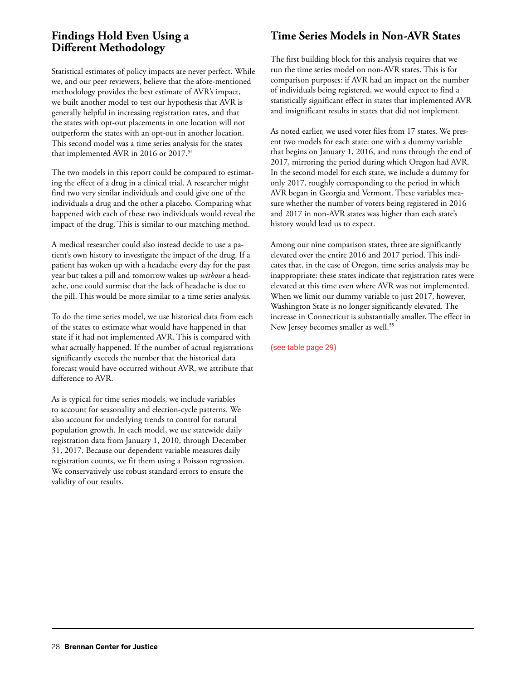## **Findings Hold Even Using a Different Methodology**

Statistical estimates of policy impacts are never perfect. While we, and our peer reviewers, believe that the afore-mentioned methodology provides the best estimate of AVR's impact, we built another model to test our hypothesis that AVR is generally helpful in increasing registration rates, and that the states with opt-out placements in one location will not outperform the states with an opt-out in another location. This second model was a time series analysis for the states that implemented AVR in 2016 or 2017.<sup>54</sup>

The two models in this report could be compared to estimating the effect of a drug in a clinical trial. A researcher might find two very similar individuals and could give one of the individuals a drug and the other a placebo. Comparing what happened with each of these two individuals would reveal the impact of the drug. This is similar to our matching method.

A medical researcher could also instead decide to use a patient's own history to investigate the impact of the drug. If a patient has woken up with a headache every day for the past year but takes a pill and tomorrow wakes up *without* a headache, one could surmise that the lack of headache is due to the pill. This would be more similar to a time series analysis.

To do the time series model, we use historical data from each of the states to estimate what would have happened in that state if it had not implemented AVR. This is compared with what actually happened. If the number of actual registrations significantly exceeds the number that the historical data forecast would have occurred without AVR, we attribute that difference to AVR.

As is typical for time series models, we include variables to account for seasonality and election-cycle patterns. We also account for underlying trends to control for natural population growth. In each model, we use statewide daily registration data from January 1, 2010, through December 31, 2017. Because our dependent variable measures daily registration counts, we fit them using a Poisson regression. We conservatively use robust standard errors to ensure the validity of our results.

## **Time Series Models in Non-AVR States**

The first building block for this analysis requires that we run the time series model on non-AVR states. This is for comparison purposes: if AVR had an impact on the number of individuals being registered, we would expect to find a statistically significant effect in states that implemented AVR and insignificant results in states that did not implement.

As noted earlier, we used voter files from 17 states. We present two models for each state: one with a dummy variable that begins on January 1, 2016, and runs through the end of 2017, mirroring the period during which Oregon had AVR. In the second model for each state, we include a dummy for only 2017, roughly corresponding to the period in which AVR began in Georgia and Vermont. These variables measure whether the number of voters being registered in 2016 and 2017 in non-AVR states was higher than each state's history would lead us to expect.

Among our nine comparison states, three are significantly elevated over the entire 2016 and 2017 period. This indicates that, in the case of Oregon, time series analysis may be inappropriate: these states indicate that registration rates were elevated at this time even where AVR was not implemented. When we limit our dummy variable to just 2017, however, Washington State is no longer significantly elevated. The increase in Connecticut is substantially smaller. The effect in New Jersey becomes smaller as well.<sup>55</sup>

(see table page 29)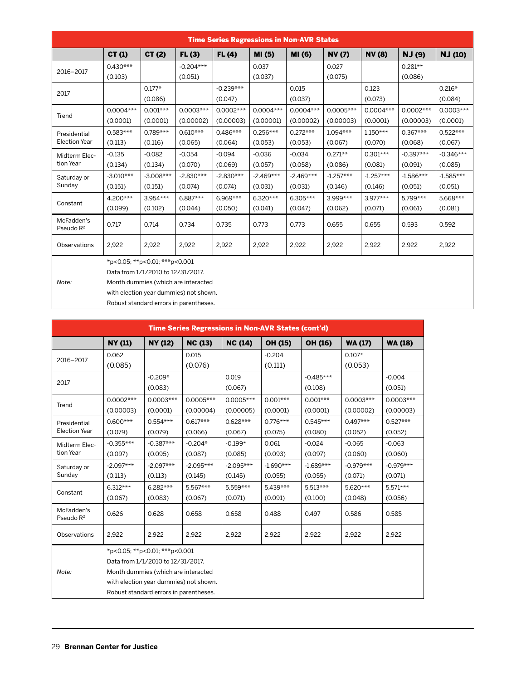| <b>Time Series Regressions in Non-AVR States</b> |                                        |                               |                                     |              |             |             |              |              |               |                |
|--------------------------------------------------|----------------------------------------|-------------------------------|-------------------------------------|--------------|-------------|-------------|--------------|--------------|---------------|----------------|
|                                                  | CT(1)                                  | CT(2)                         | FL(3)                               | <b>FL(4)</b> | MI (5)      | MI (6)      | <b>NV(7)</b> | <b>NV(8)</b> | <b>NJ</b> (9) | <b>NJ</b> (10) |
| 2016-2017                                        | $0.430***$                             |                               | $-0.204***$                         |              | 0.037       |             | 0.027        |              | $0.281**$     |                |
|                                                  | (0.103)                                |                               | (0.051)                             |              | (0.037)     |             | (0.075)      |              | (0.086)       |                |
| 2017                                             |                                        | $0.177*$                      |                                     | $-0.239***$  |             | 0.015       |              | 0.123        |               | $0.216*$       |
|                                                  |                                        | (0.086)                       |                                     | (0.047)      |             | (0.037)     |              | (0.073)      |               | (0.084)        |
| Trend                                            | $0.0004***$                            | $0.001***$                    | $0.0003***$                         | $0.0002***$  | $0.0004***$ | $0.0004***$ | $0.0005***$  | $0.0004***$  | $0.0002***$   | $0.0003***$    |
|                                                  | (0.0001)                               | (0.0001)                      | (0.00002)                           | (0.00003)    | (0.00001)   | (0.00002)   | (0.00003)    | (0.0001)     | (0.00003)     | (0.0001)       |
| Presidential                                     | $0.583***$                             | $0.789***$                    | $0.610***$                          | $0.486***$   | $0.256***$  | $0.272***$  | $1.094***$   | $1.150***$   | $0.367***$    | $0.522***$     |
| <b>Election Year</b>                             | (0.113)                                | (0.116)                       | (0.065)                             | (0.064)      | (0.053)     | (0.053)     | (0.067)      | (0.070)      | (0.068)       | (0.067)        |
| Midterm Elec-                                    | $-0.135$                               | $-0.082$                      | $-0.054$                            | $-0.094$     | $-0.036$    | $-0.034$    | $0.271**$    | $0.301***$   | $-0.397***$   | $-0.346***$    |
| tion Year                                        | (0.134)                                | (0.134)                       | (0.070)                             | (0.069)      | (0.057)     | (0.058)     | (0.086)      | (0.081)      | (0.091)       | (0.085)        |
| Saturday or                                      | $-3.010***$                            | $-3.008***$                   | $-2.830***$                         | $-2.830***$  | $-2.469***$ | $-2.469***$ | $-1.257***$  | $-1.257***$  | $-1.586***$   | $-1.585***$    |
| Sunday                                           | (0.151)                                | (0.151)                       | (0.074)                             | (0.074)      | (0.031)     | (0.031)     | (0.146)      | (0.146)      | (0.051)       | (0.051)        |
|                                                  | 4.200***                               | $3.954***$                    | $6.887***$                          | $6.969***$   | $6.320***$  | $6.305***$  | 3.999***     | $3.977***$   | 5.799***      | 5.668***       |
| Constant                                         | (0.099)                                | (0.102)                       | (0.044)                             | (0.050)      | (0.041)     | (0.047)     | (0.062)      | (0.071)      | (0.061)       | (0.081)        |
| McFadden's<br>Pseudo $R^2$                       | 0.717                                  | 0.714                         | 0.734                               | 0.735        | 0.773       | 0.773       | 0.655        | 0.655        | 0.593         | 0.592          |
| Observations                                     | 2,922                                  | 2,922                         | 2,922                               | 2,922        | 2,922       | 2,922       | 2,922        | 2,922        | 2,922         | 2,922          |
|                                                  |                                        | *p<0.05; **p<0.01; ***p<0.001 |                                     |              |             |             |              |              |               |                |
|                                                  | Data from 1/1/2010 to 12/31/2017.      |                               |                                     |              |             |             |              |              |               |                |
| Note:                                            |                                        |                               | Month dummies (which are interacted |              |             |             |              |              |               |                |
|                                                  | with election year dummies) not shown. |                               |                                     |              |             |             |              |              |               |                |

Robust standard errors in parentheses.

| <b>Time Series Regressions in Non-AVR States (cont'd)</b> |                |                                        |             |                |             |             |                |                |
|-----------------------------------------------------------|----------------|----------------------------------------|-------------|----------------|-------------|-------------|----------------|----------------|
|                                                           | <b>NY (11)</b> | NY (12)                                | NC(13)      | <b>NC (14)</b> | OH (15)     | OH (16)     | <b>WA (17)</b> | <b>WA (18)</b> |
| 2016-2017                                                 | 0.062          |                                        | 0.015       |                | $-0.204$    |             | $0.107*$       |                |
|                                                           | (0.085)        |                                        | (0.076)     |                | (0.111)     |             | (0.053)        |                |
| 2017                                                      |                | $-0.209*$                              |             | 0.019          |             | $-0.485***$ |                | $-0.004$       |
|                                                           |                | (0.083)                                |             | (0.067)        |             | (0.108)     |                | (0.051)        |
| Trend                                                     | $0.0002***$    | $0.0003***$                            | $0.0005***$ | 0.0005***      | $0.001***$  | $0.001***$  | $0.0003***$    | $0.0003***$    |
|                                                           | (0.00003)      | (0.0001)                               | (0.00004)   | (0.00005)      | (0.0001)    | (0.0001)    | (0.00002)      | (0.00003)      |
| Presidential                                              | $0.600***$     | $0.554***$                             | $0.617***$  | $0.628***$     | $0.776***$  | $0.545***$  | $0.497***$     | $0.527***$     |
| <b>Election Year</b>                                      | (0.079)        | (0.079)                                | (0.066)     | (0.067)        | (0.075)     | (0.080)     | (0.052)        | (0.052)        |
| Midterm Elec-                                             | $-0.355***$    | $-0.387***$                            | $-0.204*$   | $-0.199*$      | 0.061       | $-0.024$    | $-0.065$       | $-0.063$       |
| tion Year                                                 | (0.097)        | (0.095)                                | (0.087)     | (0.085)        | (0.093)     | (0.097)     | (0.060)        | (0.060)        |
| Saturday or                                               | $-2.097***$    | $-2.097***$                            | $-2.095***$ | $-2.095***$    | $-1.690***$ | $-1.689***$ | $-0.979***$    | $-0.979***$    |
| Sunday                                                    | (0.113)        | (0.113)                                | (0.145)     | (0.145)        | (0.055)     | (0.055)     | (0.071)        | (0.071)        |
| Constant                                                  | $6.312***$     | $6.282***$                             | $5.567***$  | 5.559***       | $5.439***$  | $5.513***$  | 5.620***       | $5.571***$     |
|                                                           | (0.067)        | (0.083)                                | (0.067)     | (0.071)        | (0.091)     | (0.100)     | (0.048)        | (0.056)        |
| McFadden's<br>Pseudo R <sup>2</sup>                       | 0.626          | 0.628                                  | 0.658       | 0.658          | 0.488       | 0.497       | 0.586          | 0.585          |
| Observations                                              | 2,922          | 2,922                                  | 2,922       | 2,922          | 2,922       | 2,922       | 2,922          | 2,922          |
|                                                           |                | *p<0.05; **p<0.01; ***p<0.001          |             |                |             |             |                |                |
|                                                           |                | Data from 1/1/2010 to 12/31/2017.      |             |                |             |             |                |                |
| Note:                                                     |                | Month dummies (which are interacted    |             |                |             |             |                |                |
|                                                           |                | with election year dummies) not shown. |             |                |             |             |                |                |
|                                                           |                | Robust standard errors in parentheses. |             |                |             |             |                |                |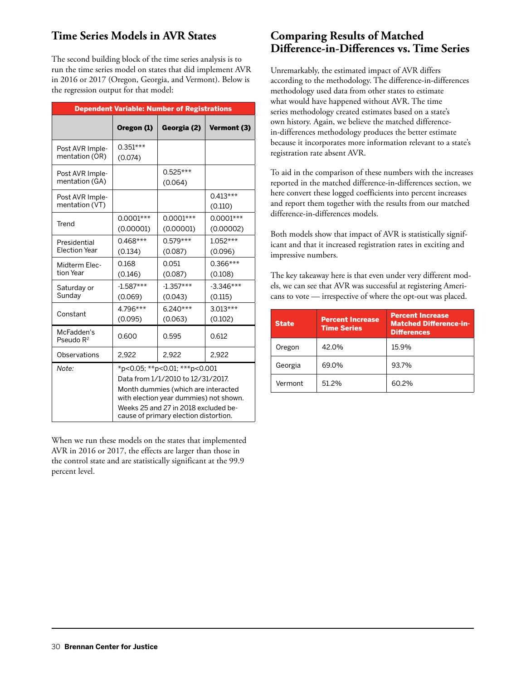## **Time Series Models in AVR States**

The second building block of the time series analysis is to run the time series model on states that did implement AVR in 2016 or 2017 (Oregon, Georgia, and Vermont). Below is the regression output for that model:

| <b>Dependent Variable: Number of Registrations</b> |                                                                                                                                                                                                                                      |                          |                          |  |  |  |  |
|----------------------------------------------------|--------------------------------------------------------------------------------------------------------------------------------------------------------------------------------------------------------------------------------------|--------------------------|--------------------------|--|--|--|--|
|                                                    | Oregon (1)                                                                                                                                                                                                                           | Georgia (2)              | Vermont (3)              |  |  |  |  |
| Post AVR Imple-<br>mentation (OR)                  | $0.351***$<br>(0.074)                                                                                                                                                                                                                |                          |                          |  |  |  |  |
| Post AVR Imple-<br>mentation (GA)                  |                                                                                                                                                                                                                                      | $0.525***$<br>(0.064)    |                          |  |  |  |  |
| Post AVR Imple-<br>mentation (VT)                  |                                                                                                                                                                                                                                      |                          | $0.413***$<br>(0.110)    |  |  |  |  |
| Trend                                              | $0.0001***$<br>(0.00001)                                                                                                                                                                                                             | $0.0001***$<br>(0.00001) | $0.0001***$<br>(0.00002) |  |  |  |  |
| Presidential<br><b>Flection Year</b>               | $0.468***$<br>(0.134)                                                                                                                                                                                                                | $0.579***$<br>(0.087)    | $1.052***$<br>(0.096)    |  |  |  |  |
| Midterm Elec-<br>tion Year                         | 0.168<br>(0.146)                                                                                                                                                                                                                     | 0.051<br>(0.087)         | $0.366***$<br>(0.108)    |  |  |  |  |
| Saturday or<br>Sunday                              | $-1.587***$<br>(0.069)                                                                                                                                                                                                               | $-1.357***$<br>(0.043)   | $-3.346***$<br>(0.115)   |  |  |  |  |
| Constant                                           | 4.796***<br>(0.095)                                                                                                                                                                                                                  | $6.240***$<br>(0.063)    | $3.013***$<br>(0.102)    |  |  |  |  |
| McFadden's<br>Pseudo R <sup>2</sup>                | 0.600                                                                                                                                                                                                                                | 0.595                    | 0.612                    |  |  |  |  |
| Observations                                       | 2,922                                                                                                                                                                                                                                | 2,922                    | 2,922                    |  |  |  |  |
| Note:                                              | *p<0.05; **p<0.01; ***p<0.001<br>Data from 1/1/2010 to 12/31/2017.<br>Month dummies (which are interacted<br>with election year dummies) not shown.<br>Weeks 25 and 27 in 2018 excluded be-<br>cause of primary election distortion. |                          |                          |  |  |  |  |

When we run these models on the states that implemented AVR in 2016 or 2017, the effects are larger than those in the control state and are statistically significant at the 99.9 percent level.

## **Comparing Results of Matched Difference-in-Differences vs. Time Series**

Unremarkably, the estimated impact of AVR differs according to the methodology. The difference-in-differences methodology used data from other states to estimate what would have happened without AVR. The time series methodology created estimates based on a state's own history. Again, we believe the matched differencein-differences methodology produces the better estimate because it incorporates more information relevant to a state's registration rate absent AVR.

To aid in the comparison of these numbers with the increases reported in the matched difference-in-differences section, we here convert these logged coefficients into percent increases and report them together with the results from our matched difference-in-differences models.

Both models show that impact of AVR is statistically significant and that it increased registration rates in exciting and impressive numbers.

The key takeaway here is that even under very different models, we can see that AVR was successful at registering Americans to vote — irrespective of where the opt-out was placed.

| <b>State</b> | <b>Percent Increase</b><br><b>Time Series</b> | <b>Percent Increase</b><br><b>Matched Difference-in-</b><br><b>Differences</b> |
|--------------|-----------------------------------------------|--------------------------------------------------------------------------------|
| Oregon       | 42.0%                                         | 15.9%                                                                          |
| Georgia      | 69.0%                                         | 93.7%                                                                          |
| Vermont      | 51.2%                                         | 60.2%                                                                          |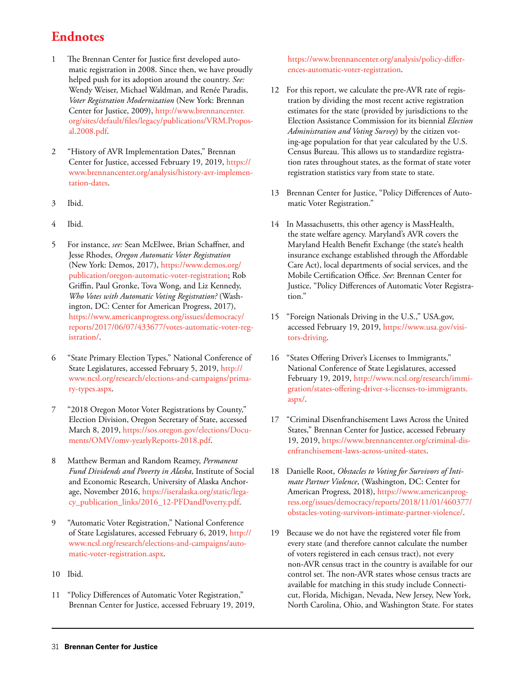# **Endnotes**

- 1 The Brennan Center for Justice first developed automatic registration in 2008. Since then, we have proudly helped push for its adoption around the country. *See:*  Wendy Weiser, Michael Waldman, and Renée Paradis, *Voter Registration Modernization* (New York: Brennan Center for Justice, 2009), [http://www.brennancenter.](http://www.brennancenter.org/sites/default/files/legacy/publications/VRM.Proposal.2008.pdf) [org/sites/default/files/legacy/publications/VRM.Propos](http://www.brennancenter.org/sites/default/files/legacy/publications/VRM.Proposal.2008.pdf)[al.2008.pdf](http://www.brennancenter.org/sites/default/files/legacy/publications/VRM.Proposal.2008.pdf).
- 2 "History of AVR Implementation Dates," Brennan Center for Justice, accessed February 19, 2019, [https://](https://www.brennancenter.org/analysis/history-avr-implementation-dates) [www.brennancenter.org/analysis/history-avr-implemen](https://www.brennancenter.org/analysis/history-avr-implementation-dates)[tation-dates](https://www.brennancenter.org/analysis/history-avr-implementation-dates).
- 3 Ibid.
- 4 Ibid.
- 5 For instance, *see:* Sean McElwee, Brian Schaffner, and Jesse Rhodes, *Oregon Automatic Voter Registration* (New York: Demos, 2017), [https://www.demos.org/](https://www.demos.org/publication/oregon-automatic-voter-registration) [publication/oregon-automatic-voter-registration](https://www.demos.org/publication/oregon-automatic-voter-registration); Rob Griffin, Paul Gronke, Tova Wong, and Liz Kennedy, *Who Votes with Automatic Voting Registration?* (Washington, DC: Center for American Progress, 2017), [https://www.americanprogress.org/issues/democracy/](https://www.americanprogress.org/issues/democracy/reports/2017/06/07/433677/votes-automatic-voter-registration/) [reports/2017/06/07/433677/votes-automatic-voter-reg](https://www.americanprogress.org/issues/democracy/reports/2017/06/07/433677/votes-automatic-voter-registration/)[istration/](https://www.americanprogress.org/issues/democracy/reports/2017/06/07/433677/votes-automatic-voter-registration/).
- 6 "State Primary Election Types," National Conference of State Legislatures, accessed February 5, 2019, [http://](http://www.ncsl.org/research/elections-and-campaigns/primary-types.aspx) [www.ncsl.org/research/elections-and-campaigns/prima](http://www.ncsl.org/research/elections-and-campaigns/primary-types.aspx)[ry-types.aspx.](http://www.ncsl.org/research/elections-and-campaigns/primary-types.aspx)
- 7 "2018 Oregon Motor Voter Registrations by County," Election Division, Oregon Secretary of State, accessed March 8, 2019, [https://sos.oregon.gov/elections/Docu](https://sos.oregon.gov/elections/Documents/OMV/omv-yearlyReports-2018.pdf)[ments/OMV/omv-yearlyReports-2018.pdf](https://sos.oregon.gov/elections/Documents/OMV/omv-yearlyReports-2018.pdf).
- 8 Matthew Berman and Random Reamey, *Permanent Fund Dividends and Poverty in Alaska*, Institute of Social and Economic Research, University of Alaska Anchorage, November 2016, [https://iseralaska.org/static/lega](https://iseralaska.org/static/legacy_publication_links/2016_12-PFDandPoverty.pdf)[cy\\_publication\\_links/2016\\_12-PFDandPoverty.pdf](https://iseralaska.org/static/legacy_publication_links/2016_12-PFDandPoverty.pdf).
- 9 "Automatic Voter Registration," National Conference of State Legislatures, accessed February 6, 2019, [http://](http://www.ncsl.org/research/elections-and-campaigns/automatic-voter-registration.aspx) [www.ncsl.org/research/elections-and-campaigns/auto](http://www.ncsl.org/research/elections-and-campaigns/automatic-voter-registration.aspx)[matic-voter-registration.aspx](http://www.ncsl.org/research/elections-and-campaigns/automatic-voter-registration.aspx).
- 10 Ibid.
- 11 "Policy Differences of Automatic Voter Registration," Brennan Center for Justice, accessed February 19, 2019,

[https://www.brennancenter.org/analysis/policy-differ](https://www.brennancenter.org/analysis/policy-differences-automatic-voter-registration)[ences-automatic-voter-registration.](https://www.brennancenter.org/analysis/policy-differences-automatic-voter-registration)

- 12 For this report, we calculate the pre-AVR rate of registration by dividing the most recent active registration estimates for the state (provided by jurisdictions to the Election Assistance Commission for its biennial *Election Administration and Voting Survey*) by the citizen voting-age population for that year calculated by the U.S. Census Bureau. This allows us to standardize registration rates throughout states, as the format of state voter registration statistics vary from state to state.
- 13 Brennan Center for Justice, "Policy Differences of Automatic Voter Registration."
- 14 In Massachusetts, this other agency is MassHealth, the state welfare agency. Maryland's AVR covers the Maryland Health Benefit Exchange (the state's health insurance exchange established through the Affordable Care Act), local departments of social services, and the Mobile Certification Office. *See*: Brennan Center for Justice, "Policy Differences of Automatic Voter Registration."
- 15 "Foreign Nationals Driving in the U.S.," USA.gov, accessed February 19, 2019, [https://www.usa.gov/visi](https://www.usa.gov/visitors-driving)[tors-driving](https://www.usa.gov/visitors-driving).
- 16 "States Offering Driver's Licenses to Immigrants," National Conference of State Legislatures, accessed February 19, 2019, [http://www.ncsl.org/research/immi](http://www.ncsl.org/research/immigration/states-offering-driver-s-licenses-to-immigrants.aspx/)[gration/states-offering-driver-s-licenses-to-immigrants.](http://www.ncsl.org/research/immigration/states-offering-driver-s-licenses-to-immigrants.aspx/) [aspx/.](http://www.ncsl.org/research/immigration/states-offering-driver-s-licenses-to-immigrants.aspx/)
- 17 "Criminal Disenfranchisement Laws Across the United States," Brennan Center for Justice, accessed February 19, 2019, [https://www.brennancenter.org/criminal-dis](https://www.brennancenter.org/criminal-disenfranchisement-laws-across-united-states)[enfranchisement-laws-across-united-states](https://www.brennancenter.org/criminal-disenfranchisement-laws-across-united-states).
- 18 Danielle Root, *Obstacles to Voting for Survivors of Intimate Partner Violence*, (Washington, DC: Center for American Progress, 2018), [https://www.americanprog](https://www.americanprogress.org/issues/democracy/reports/2018/11/01/460377/obstacles-voting-survivors-intimate-partner-violence/)[ress.org/issues/democracy/reports/2018/11/01/460377/](https://www.americanprogress.org/issues/democracy/reports/2018/11/01/460377/obstacles-voting-survivors-intimate-partner-violence/) [obstacles-voting-survivors-intimate-partner-violence/.](https://www.americanprogress.org/issues/democracy/reports/2018/11/01/460377/obstacles-voting-survivors-intimate-partner-violence/)
- 19 Because we do not have the registered voter file from every state (and therefore cannot calculate the number of voters registered in each census tract), not every non-AVR census tract in the country is available for our control set. The non-AVR states whose census tracts are available for matching in this study include Connecticut, Florida, Michigan, Nevada, New Jersey, New York, North Carolina, Ohio, and Washington State. For states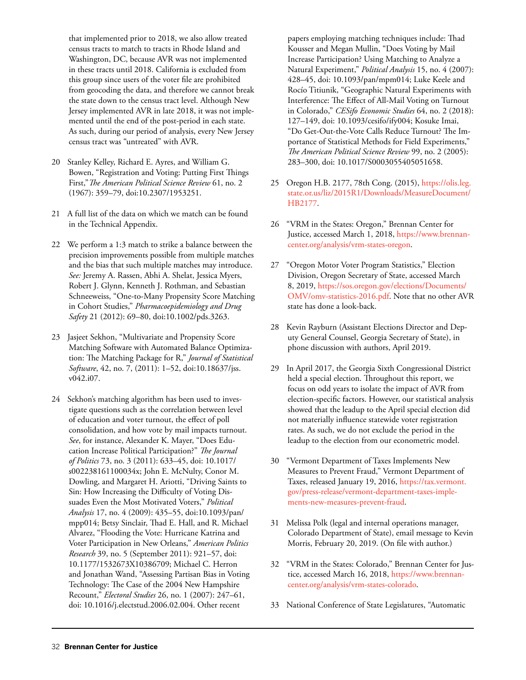that implemented prior to 2018, we also allow treated census tracts to match to tracts in Rhode Island and Washington, DC, because AVR was not implemented in these tracts until 2018. California is excluded from this group since users of the voter file are prohibited from geocoding the data, and therefore we cannot break the state down to the census tract level. Although New Jersey implemented AVR in late 2018, it was not implemented until the end of the post-period in each state. As such, during our period of analysis, every New Jersey census tract was "untreated" with AVR.

- 20 Stanley Kelley, Richard E. Ayres, and William G. Bowen, "Registration and Voting: Putting First Things First,"*The American Political Science Review* 61, no. 2 (1967): 359–79, doi:10.2307/1953251.
- 21 A full list of the data on which we match can be found in the Technical Appendix.
- 22 We perform a 1:3 match to strike a balance between the precision improvements possible from multiple matches and the bias that such multiple matches may introduce. *See:* Jeremy A. Rassen, Abhi A. Shelat, Jessica Myers, Robert J. Glynn, Kenneth J. Rothman, and Sebastian Schneeweiss, "One-to-Many Propensity Score Matching in Cohort Studies," *Pharmacoepidemiology and Drug Safety* 21 (2012): 69–80, doi:10.1002/pds.3263.
- 23 Jasjeet Sekhon, "Multivariate and Propensity Score Matching Software with Automated Balance Optimization: The Matching Package for R," *Journal of Statistical Software*, 42, no. 7, (2011): 1–52, doi:10.18637/jss. v042.i07.
- 24 Sekhon's matching algorithm has been used to investigate questions such as the correlation between level of education and voter turnout, the effect of poll consolidation, and how vote by mail impacts turnout. *See*, for instance, Alexander K. Mayer, "Does Education Increase Political Participation?" *The Journal of Politics* 73, no. 3 (2011): 633–45, doi: 10.1017/ s002238161100034x; John E. McNulty, Conor M. Dowling, and Margaret H. Ariotti, "Driving Saints to Sin: How Increasing the Difficulty of Voting Dissuades Even the Most Motivated Voters," *Political Analysis* 17, no. 4 (2009): 435–55, doi:10.1093/pan/ mpp014; Betsy Sinclair, Thad E. Hall, and R. Michael Alvarez, "Flooding the Vote: Hurricane Katrina and Voter Participation in New Orleans," *American Politics Research* 39, no. 5 (September 2011): 921–57, doi: 10.1177/1532673X10386709; Michael C. Herron and Jonathan Wand, "Assessing Partisan Bias in Voting Technology: The Case of the 2004 New Hampshire Recount," *Electoral Studies* 26, no. 1 (2007): 247–61, doi: 10.1016/j.electstud.2006.02.004. Other recent

papers employing matching techniques include: Thad Kousser and Megan Mullin, "Does Voting by Mail Increase Participation? Using Matching to Analyze a Natural Experiment," *Political Analysis* 15, no. 4 (2007): 428–45, doi: 10.1093/pan/mpm014; Luke Keele and Rocío Titiunik, "Geographic Natural Experiments with Interference: The Effect of All-Mail Voting on Turnout in Colorado," *CESifo Economic Studies* 64, no. 2 (2018): 127–149, doi: 10.1093/cesifo/ify004; Kosuke Imai, "Do Get-Out-the-Vote Calls Reduce Turnout? The Importance of Statistical Methods for Field Experiments," *The American Political Science Review* 99, no. 2 (2005): 283–300, doi: 10.1017/S0003055405051658.

- 25 Oregon H.B. 2177, 78th Cong. (2015), [https://olis.leg.](https://olis.leg.state.or.us/liz/2015R1/Downloads/MeasureDocument/HB2177) [state.or.us/liz/2015R1/Downloads/MeasureDocument/](https://olis.leg.state.or.us/liz/2015R1/Downloads/MeasureDocument/HB2177) [HB2177](https://olis.leg.state.or.us/liz/2015R1/Downloads/MeasureDocument/HB2177).
- 26 "VRM in the States: Oregon," Brennan Center for Justice, accessed March 1, 2018, [https://www.brennan](https://www.brennancenter.org/analysis/vrm-states-oregon)[center.org/analysis/vrm-states-oregon.](https://www.brennancenter.org/analysis/vrm-states-oregon)
- 27 "Oregon Motor Voter Program Statistics," Election Division, Oregon Secretary of State, accessed March 8, 2019, [https://sos.oregon.gov/elections/Documents/](https://sos.oregon.gov/elections/Documents/OMV/omv-statistics-2016.pdf) [OMV/omv-statistics-2016.pdf](https://sos.oregon.gov/elections/Documents/OMV/omv-statistics-2016.pdf). Note that no other AVR state has done a look-back.
- 28 Kevin Rayburn (Assistant Elections Director and Deputy General Counsel, Georgia Secretary of State), in phone discussion with authors, April 2019.
- 29 In April 2017, the Georgia Sixth Congressional District held a special election. Throughout this report, we focus on odd years to isolate the impact of AVR from election-specific factors. However, our statistical analysis showed that the leadup to the April special election did not materially influence statewide voter registration rates. As such, we do not exclude the period in the leadup to the election from our econometric model.
- 30 "Vermont Department of Taxes Implements New Measures to Prevent Fraud," Vermont Department of Taxes, released January 19, 2016, [https://tax.vermont.](https://tax.vermont.gov/press-release/vermont-department-taxes-implements-new-measures-prevent-fraud) [gov/press-release/vermont-department-taxes-imple](https://tax.vermont.gov/press-release/vermont-department-taxes-implements-new-measures-prevent-fraud)[ments-new-measures-prevent-fraud.](https://tax.vermont.gov/press-release/vermont-department-taxes-implements-new-measures-prevent-fraud)
- 31 Melissa Polk (legal and internal operations manager, Colorado Department of State), email message to Kevin Morris, February 20, 2019. (On file with author.)
- 32 "VRM in the States: Colorado," Brennan Center for Justice, accessed March 16, 2018, [https://www.brennan](https://www.brennancenter.org/analysis/vrm-states-colorado)[center.org/analysis/vrm-states-colorado.](https://www.brennancenter.org/analysis/vrm-states-colorado)
- 33 National Conference of State Legislatures, "Automatic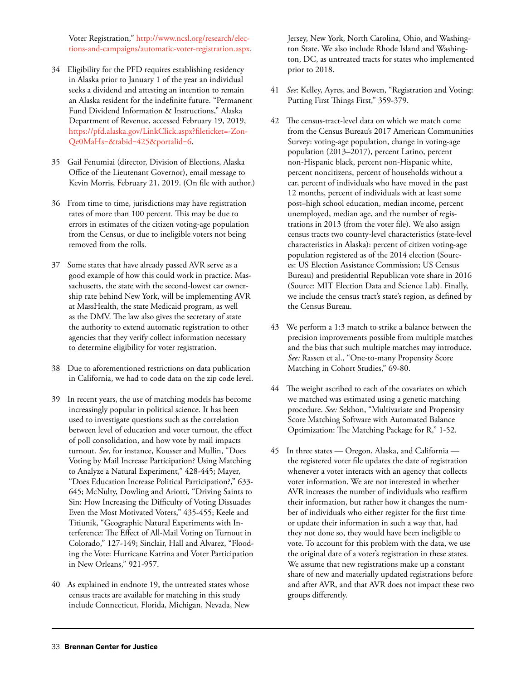Voter Registration," [http://www.ncsl.org/research/elec](http://www.ncsl.org/research/elections-and-campaigns/automatic-voter-registration.aspx)[tions-and-campaigns/automatic-voter-registration.aspx.](http://www.ncsl.org/research/elections-and-campaigns/automatic-voter-registration.aspx)

- 34 Eligibility for the PFD requires establishing residency in Alaska prior to January 1 of the year an individual seeks a dividend and attesting an intention to remain an Alaska resident for the indefinite future. "Permanent Fund Dividend Information & Instructions," Alaska Department of Revenue, accessed February 19, 2019, [https://pfd.alaska.gov/LinkClick.aspx?fileticket=-Zon-](https://pfd.alaska.gov/LinkClick.aspx?fileticket=-ZonQe0MaHs%3d&tabid=425&portalid=6)[Qe0MaHs=&tabid=425&portalid=6.](https://pfd.alaska.gov/LinkClick.aspx?fileticket=-ZonQe0MaHs%3d&tabid=425&portalid=6)
- 35 Gail Fenumiai (director, Division of Elections, Alaska Office of the Lieutenant Governor), email message to Kevin Morris, February 21, 2019. (On file with author.)
- 36 From time to time, jurisdictions may have registration rates of more than 100 percent. This may be due to errors in estimates of the citizen voting-age population from the Census, or due to ineligible voters not being removed from the rolls.
- 37 Some states that have already passed AVR serve as a good example of how this could work in practice. Massachusetts, the state with the second-lowest car ownership rate behind New York, will be implementing AVR at MassHealth, the state Medicaid program, as well as the DMV. The law also gives the secretary of state the authority to extend automatic registration to other agencies that they verify collect information necessary to determine eligibility for voter registration.
- 38 Due to aforementioned restrictions on data publication in California, we had to code data on the zip code level.
- 39 In recent years, the use of matching models has become increasingly popular in political science. It has been used to investigate questions such as the correlation between level of education and voter turnout, the effect of poll consolidation, and how vote by mail impacts turnout. *See*, for instance, Kousser and Mullin, "Does Voting by Mail Increase Participation? Using Matching to Analyze a Natural Experiment," 428-445; Mayer, "Does Education Increase Political Participation?," 633- 645; McNulty, Dowling and Ariotti, "Driving Saints to Sin: How Increasing the Difficulty of Voting Dissuades Even the Most Motivated Voters," 435-455; Keele and Titiunik, "Geographic Natural Experiments with Interference: The Effect of All-Mail Voting on Turnout in Colorado," 127-149; Sinclair, Hall and Alvarez, "Flooding the Vote: Hurricane Katrina and Voter Participation in New Orleans," 921-957.
- 40 As explained in endnote 19, the untreated states whose census tracts are available for matching in this study include Connecticut, Florida, Michigan, Nevada, New

Jersey, New York, North Carolina, Ohio, and Washington State. We also include Rhode Island and Washington, DC, as untreated tracts for states who implemented prior to 2018.

- 41 *See*: Kelley, Ayres, and Bowen, "Registration and Voting: Putting First Things First," 359-379.
- 42 The census-tract-level data on which we match come from the Census Bureau's 2017 American Communities Survey: voting-age population, change in voting-age population (2013–2017), percent Latino, percent non-Hispanic black, percent non-Hispanic white, percent noncitizens, percent of households without a car, percent of individuals who have moved in the past 12 months, percent of individuals with at least some post–high school education, median income, percent unemployed, median age, and the number of registrations in 2013 (from the voter file). We also assign census tracts two county-level characteristics (state-level characteristics in Alaska): percent of citizen voting-age population registered as of the 2014 election (Sources: US Election Assistance Commission; US Census Bureau) and presidential Republican vote share in 2016 (Source: MIT Election Data and Science Lab). Finally, we include the census tract's state's region, as defined by the Census Bureau.
- 43 We perform a 1:3 match to strike a balance between the precision improvements possible from multiple matches and the bias that such multiple matches may introduce. *See:* Rassen et al., "One-to-many Propensity Score Matching in Cohort Studies," 69-80.
- 44 The weight ascribed to each of the covariates on which we matched was estimated using a genetic matching procedure. *See:* Sekhon, "Multivariate and Propensity Score Matching Software with Automated Balance Optimization: The Matching Package for R," 1-52.
- 45 In three states Oregon, Alaska, and California the registered voter file updates the date of registration whenever a voter interacts with an agency that collects voter information. We are not interested in whether AVR increases the number of individuals who reaffirm their information, but rather how it changes the number of individuals who either register for the first time or update their information in such a way that, had they not done so, they would have been ineligible to vote. To account for this problem with the data, we use the original date of a voter's registration in these states. We assume that new registrations make up a constant share of new and materially updated registrations before and after AVR, and that AVR does not impact these two groups differently.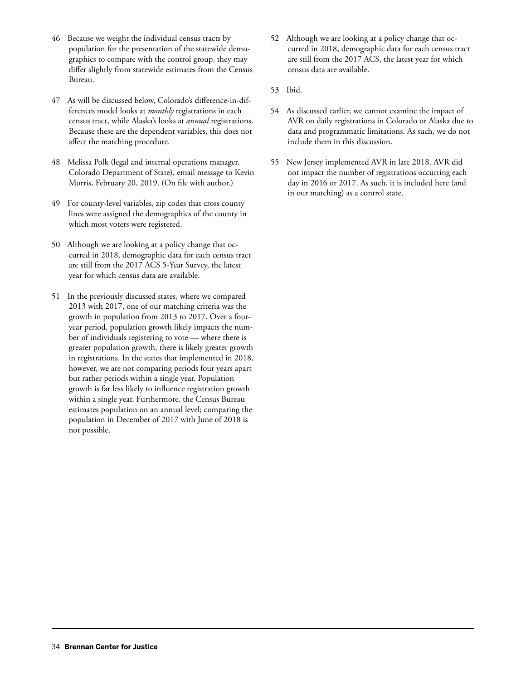- 46 Because we weight the individual census tracts by population for the presentation of the statewide demographics to compare with the control group, they may differ slightly from statewide estimates from the Census Bureau.
- 47 As will be discussed below, Colorado's difference-in-differences model looks at *monthly* registrations in each census tract, while Alaska's looks at *annual* registrations. Because these are the dependent variables, this does not affect the matching procedure.
- 48 Melissa Polk (legal and internal operations manager, Colorado Department of State), email message to Kevin Morris, February 20, 2019. (On file with author.)
- 49 For county-level variables, zip codes that cross county lines were assigned the demographics of the county in which most voters were registered.
- 50 Although we are looking at a policy change that occurred in 2018, demographic data for each census tract are still from the 2017 ACS 5-Year Survey, the latest year for which census data are available.
- 51 In the previously discussed states, where we compared 2013 with 2017, one of our matching criteria was the growth in population from 2013 to 2017. Over a fouryear period, population growth likely impacts the number of individuals registering to vote — where there is greater population growth, there is likely greater growth in registrations. In the states that implemented in 2018, however, we are not comparing periods four years apart but rather periods within a single year. Population growth is far less likely to influence registration growth within a single year. Furthermore, the Census Bureau estimates population on an annual level; comparing the population in December of 2017 with June of 2018 is not possible.
- 52 Although we are looking at a policy change that occurred in 2018, demographic data for each census tract are still from the 2017 ACS, the latest year for which census data are available.
- 53 Ibid.
- 54 As discussed earlier, we cannot examine the impact of AVR on daily registrations in Colorado or Alaska due to data and programmatic limitations. As such, we do not include them in this discussion.
- 55 New Jersey implemented AVR in late 2018. AVR did not impact the number of registrations occurring each day in 2016 or 2017. As such, it is included here (and in our matching) as a control state.